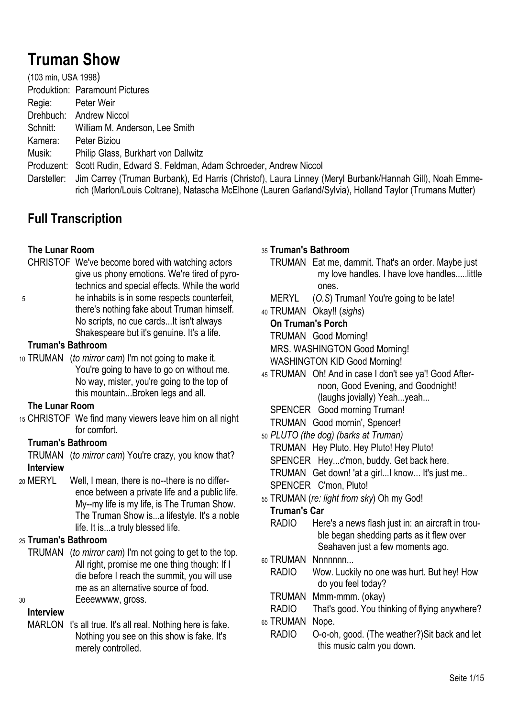# **Truman Show**

(103 min, USA 1998) Produktion: Paramount Pictures Regie: Peter Weir Drehbuch: Andrew Niccol Schnitt: William M. Anderson, Lee Smith Kamera: Peter Biziou Musik: Philip Glass, Burkhart von Dallwitz Produzent: Scott Rudin, Edward S. Feldman, Adam Schroeder, Andrew Niccol Darsteller: Jim Carrey (Truman Burbank), Ed Harris (Christof), Laura Linney (Meryl Burbank/Hannah Gill), Noah Emmerich (Marlon/Louis Coltrane), Natascha McElhone (Lauren Garland/Sylvia), Holland Taylor (Trumans Mutter)

## **Full Transcription**

CHRISTOF We've become bored with watching actors give us phony emotions. We're tired of pyrotechnics and special effects. While the world he inhabits is in some respects counterfeit, there's nothing fake about Truman himself. No scripts, no cue cards...It isn't always Shakespeare but it's genuine. It's a life. 5

10 Shakespeare but it's genuine. It's a life.<br>**Truman's Bathroom MRS. WASHINGTON Good Morning!**<br>10 TRUMAN *(to mirror cam*) I'm not going to make it. WASHINGTON KID Good Morning! You're going to have to go on without me. No way, mister, you're going to the top of this mountain...Broken legs and all.

The Lunar Room<br>15 CHRISTOF We find many viewers leave him on all night<br>15 TRI IMAN Good mornin' Spencer! for comfort.

<sub>20</sub> MERYL ence between a private life and a public life. My--my life is my life, is The Truman Show. The Truman Show is...a lifestyle. It's a noble life. It is...a truly blessed life.

### 25 Truman's Bathroom

TRUMAN (*to mirror cam*) I'm not going to get to the top. All right, promise me one thing though: If I die before I reach the summit, you will use me as an alternative source of food.

Eeeewwww, gross.

30

MARLON t's all true. It's all real. Nothing here is fake.  $65 \text{ IRUM}$ <br>Nothing you see on this show is fake. It's RADIO Nothing you see on this show is fake. It's merely controlled.

### **The Lunar Room The Lunar Room Truman's Bathroom**

- TRUMAN Eat me, dammit. That's an order. Maybe just my love handles. I have love handles.....little ones.
- MERYL (*O.S*) Truman! You're going to be late!
- 40 TRUMAN Okay!! (*sighs*)
- **On Truman's Porch**
- 
- 
- WASHINGTON KID Good Morning!
- 45 TRUMAN Oh! And in case I don't see ya'! Good Afternoon, Good Evening, and Goodnight! (laughs jovially) Yeah...yeah...
	-
	- TRUMAN Good mornin', Spencer!
- 50 PLUTO (the dog) (barks at Truman) **PLUMAN (***to mirror cam***) You're crazy, you know that? TRUMAN** Hey Pluto. Hey Pluto! Hey Pluto! **TRUMAN** (*to mirror cam*) You're crazy, you know that? SPENCER Hey...c'mon, buddy. Get back here. **INTERT INTERVIEW AND GET down!** 'at a girl...I know... It's just me.. Well, I mean, there is no--there is no differ-SPENCER C'mon, Pluto!
	- 55 TRUMAN (*re: light from sky*) Oh my God! **Truman's Car** 
		- RADIO Here's a news flash just in: an aircraft in trouble began shedding parts as it flew over Seahaven just a few moments ago.
	- 60 TRUMAN Nnnnnnn...
		- RADIO Wow. Luckily no one was hurt. But hey! How do you feel today?
		- TRUMAN Mmm-mmm. (okay)
- RADIO That's good. You thinking of flying anywhere? **Interview** 
	- 65 TRUMAN Nope.
		- O-o-oh, good. (The weather?)Sit back and let this music calm you down.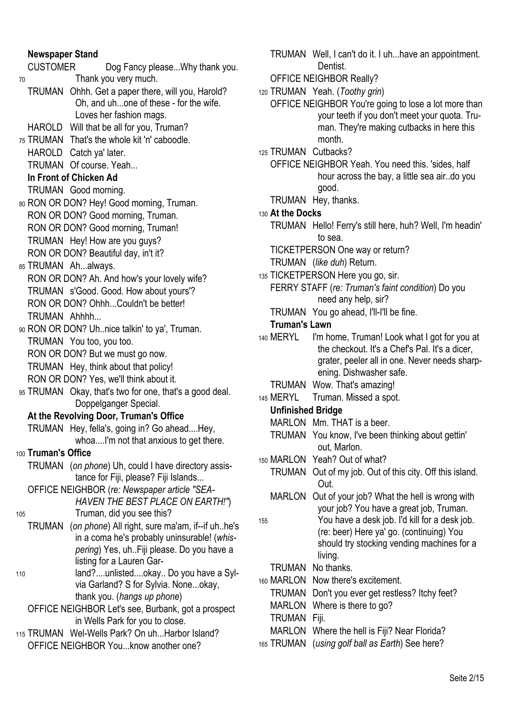|     |                     |                                                                   |     |                          | Dentist.                                        |
|-----|---------------------|-------------------------------------------------------------------|-----|--------------------------|-------------------------------------------------|
|     | <b>CUSTOMER</b>     | Dog Fancy please Why thank you.<br>Thank you very much.           |     |                          | <b>OFFICE NEIGHBOR Really?</b>                  |
| 70  |                     | TRUMAN Ohhh. Get a paper there, will you, Harold?                 |     |                          | 120 TRUMAN Yeah. (Toothy grin)                  |
|     |                     | Oh, and uhone of these - for the wife.                            |     |                          | OFFICE NEIGHBOR You're going to lose a lot      |
|     |                     | Loves her fashion mags.                                           |     |                          | your teeth if you don't meet your qu            |
|     |                     | HAROLD Will that be all for you, Truman?                          |     |                          | man. They're making cutbacks in h               |
|     |                     | 75 TRUMAN That's the whole kit 'n' caboodle.                      |     |                          | month.                                          |
|     |                     |                                                                   |     |                          | 125 TRUMAN Cutbacks?                            |
|     |                     | HAROLD Catch ya' later.<br>TRUMAN Of course, Yeah                 |     |                          | OFFICE NEIGHBOR Yeah. You need this. 'side      |
|     |                     |                                                                   |     |                          | hour across the bay, a little sea air           |
|     |                     | In Front of Chicken Ad                                            |     |                          | good.                                           |
|     |                     | TRUMAN Good morning.                                              |     |                          | TRUMAN Hey, thanks.                             |
|     |                     | 80 RON OR DON? Hey! Good morning, Truman.                         |     | 130 At the Docks         |                                                 |
|     |                     | RON OR DON? Good morning, Truman.                                 |     |                          | TRUMAN Hello! Ferry's still here, huh? Well, I' |
|     |                     | RON OR DON? Good morning, Truman!                                 |     |                          | to sea.                                         |
|     |                     | TRUMAN Hey! How are you guys?                                     |     |                          | TICKETPERSON One way or return?                 |
|     |                     | RON OR DON? Beautiful day, in't it?                               |     |                          | TRUMAN (like duh) Return.                       |
|     |                     | 85 TRUMAN Ahalways.                                               |     |                          | 135 TICKETPERSON Here you go, sir.              |
|     |                     | RON OR DON? Ah. And how's your lovely wife?                       |     |                          | FERRY STAFF (re: Truman's faint condition) De   |
|     |                     | TRUMAN s'Good. Good. How about yours'?                            |     |                          | need any help, sir?                             |
|     |                     | RON OR DON? OhhhCouldn't be better!                               |     |                          | TRUMAN You go ahead, I'll-I'll be fine.         |
|     | TRUMAN Ahhhh        |                                                                   |     | <b>Truman's Lawn</b>     |                                                 |
|     |                     | 90 RON OR DON? Uh. nice talkin' to ya', Truman.                   |     | 140 MERYL                | I'm home, Truman! Look what I got f             |
|     |                     | TRUMAN You too, you too.                                          |     |                          | the checkout. It's a Chef's Pal. It's           |
|     |                     | RON OR DON? But we must go now.                                   |     |                          | grater, peeler all in one. Never nee            |
|     |                     | TRUMAN Hey, think about that policy!                              |     |                          | ening. Dishwasher safe.                         |
|     |                     | RON OR DON? Yes, we'll think about it.                            |     |                          | TRUMAN Wow. That's amazing!                     |
|     |                     | 95 TRUMAN Okay, that's two for one, that's a good deal.           |     | 145 MERYL                | Truman. Missed a spot.                          |
|     |                     | Doppelganger Special.                                             |     | <b>Unfinished Bridge</b> |                                                 |
|     |                     | At the Revolving Door, Truman's Office                            |     |                          | MARLON Mm. THAT is a beer.                      |
|     |                     | TRUMAN Hey, fella's, going in? Go aheadHey,                       |     |                          | TRUMAN You know, I've been thinking about       |
|     |                     | whoaI'm not that anxious to get there.                            |     |                          | out, Marlon.                                    |
|     | 100 Truman's Office |                                                                   |     |                          | 150 MARLON Yeah? Out of what?                   |
|     |                     | TRUMAN (on phone) Uh, could I have directory assis-               |     |                          | TRUMAN Out of my job. Out of this city. Off the |
|     |                     | tance for Fiji, please? Fiji Islands                              |     |                          | Out.                                            |
|     |                     | OFFICE NEIGHBOR (re: Newspaper article "SEA-                      |     | MARLON                   | Out of your job? What the hell is wro           |
|     |                     | HAVEN THE BEST PLACE ON EARTH!")                                  |     |                          | your job? You have a great job, Tro             |
| 105 |                     | Truman, did you see this?                                         | 155 |                          | You have a desk job. I'd kill for a d           |
|     | TRUMAN              | (on phone) All right, sure ma'am, if--if uhhe's                   |     |                          | (re: beer) Here ya' go. (continuing)            |
|     |                     | in a coma he's probably uninsurable! (whis-                       |     |                          | should try stocking vending machir              |
|     |                     | pering) Yes, uh. Fiji please. Do you have a                       |     |                          | living.                                         |
|     |                     | listing for a Lauren Gar-<br>land?unlistedokay Do you have a Syl- |     | TRUMAN                   | No thanks.                                      |
| 110 |                     | via Garland? S for Sylvia. Noneokay,                              |     |                          | 160 MARLON Now there's excitement.              |
|     |                     | thank you. (hangs up phone)                                       |     | TRUMAN                   | Don't you ever get restless? Itchy fe           |
|     |                     | OFFICE NEIGHBOR Let's see, Burbank, got a prospect                |     |                          | MARLON Where is there to go?                    |
|     |                     | in Wells Park for you to close.                                   |     | TRUMAN Fiji.             |                                                 |
|     |                     | 115 TRUMAN Wel-Wells Park? On uhHarbor Island?                    |     |                          | MARLON Where the hell is Fiji? Near Florida?    |
|     |                     | OFFICE NEIGHBOR Youknow another one?                              |     |                          | 165 TRUMAN (using golf ball as Earth) See here? |
|     |                     |                                                                   |     |                          |                                                 |

**Newspaper Stand <b>Newspaper Stand TRUMAN** Well, I can't do it. I uh...have an appointment. OFFICE NEIGHBOR Really? 120 TRUMAN Yeah. (*Toothy grin*) 135 TICKETPERSON Here you go, sir. 140 MERYL 145 MERYL 155 160 MARLON Now there's excitement. OFFICE NEIGHBOR You're going to lose a lot more than your teeth if you don't meet your quota. Truman. They're making cutbacks in here this month. OFFICE NEIGHBOR Yeah. You need this. 'sides, half hour across the bay, a little sea air..do you good. TRUMAN Hey, thanks. TRUMAN Hello! Ferry's still here, huh? Well, I'm headin' TRUMAN Hey! How are you guys?<br>
RON OR DON? Beautiful day, in't it?<br>
TICKETPERSON One way or return?<br>
TRUMAN Ah...always.<br>
RON OR DON? Ah. And how's your lovely wife?<br>
TRIMAN S'Good Good How about yours'?<br>
TRIMAN S'Good Goo need any help, sir? TRUMAN You go ahead, I'll-I'll be fine.<br>Truman's Lawn I'm home, Truman! Look what I got for you at the checkout. It's a Chef's Pal. It's a dicer, grater, peeler all in one. Never needs sharpening. Dishwasher safe. TRUMAN Wow. That's amazing! MERYL Truman. Missed a spot.<br>**Unfinished Bridge MARLON Mm. THAT is a beer.** TRUMAN You know, I've been thinking about gettin'<br>out, Marlon. TRUMAN Out of my job. Out of this city. Off this island.<br>Out MARLON Out of your job? What the hell is wrong with your job? You have a great job, Truman. You have a desk job. I'd kill for a desk job. (re: beer) Here ya' go. (continuing) You should try stocking vending machines for a living. TRUMAN No thanks. TRUMAN Don't you ever get restless? Itchy feet?  $MARLON$  Where is there to go? TRUMAN Fiii. MARLON Where the hell is Fiji? Near Florida?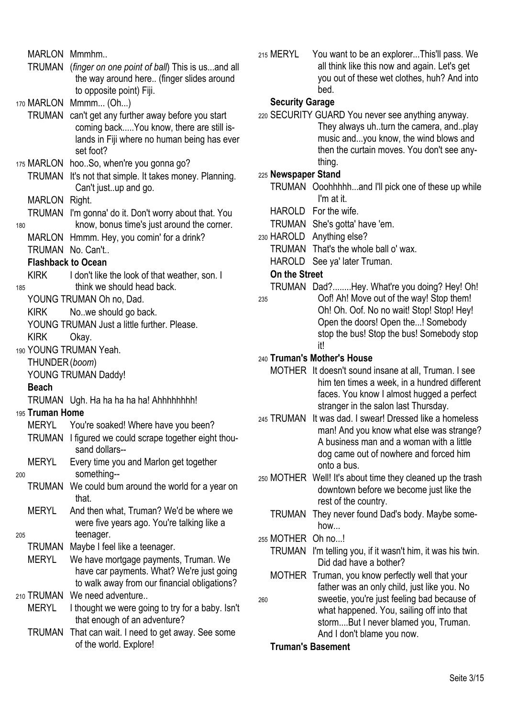|                 | MARLON Mmmhm<br>TRUMAN (finger on one point of ball) This is usand all<br>the way around here (finger slides around                                         | 215 MERYL              | You want to be an explorerThis'll pass. We<br>all think like this now and again. Let's get<br>you out of these wet clothes, huh? And into<br>bed.                                  |
|-----------------|-------------------------------------------------------------------------------------------------------------------------------------------------------------|------------------------|------------------------------------------------------------------------------------------------------------------------------------------------------------------------------------|
|                 | to opposite point) Fiji.<br>170 MARLON Mmmm (Oh)                                                                                                            | <b>Security Garage</b> |                                                                                                                                                                                    |
|                 | TRUMAN can't get any further away before you start<br>coming back You know, there are still is-<br>lands in Fiji where no human being has ever<br>set foot? |                        | 220 SECURITY GUARD You never see anything anyway.<br>They always uhturn the camera, andplay<br>music andyou know, the wind blows and<br>then the curtain moves. You don't see any- |
|                 | 175 MARLON hooSo, when're you gonna go?                                                                                                                     |                        | thing.                                                                                                                                                                             |
|                 | TRUMAN It's not that simple. It takes money. Planning.<br>Can't just. up and go.                                                                            | 225 Newspaper Stand    | TRUMAN Ooohhhhhand I'll pick one of these up while                                                                                                                                 |
|                 | MARLON Right.                                                                                                                                               |                        | I'm at it.                                                                                                                                                                         |
|                 | TRUMAN I'm gonna' do it. Don't worry about that. You                                                                                                        | <b>HAROLD</b>          | For the wife.                                                                                                                                                                      |
| 180             | know, bonus time's just around the corner.                                                                                                                  |                        | TRUMAN She's gotta' have 'em.                                                                                                                                                      |
|                 | MARLON Hmmm. Hey, you comin' for a drink?                                                                                                                   | 230 HAROLD<br>TRUMAN   | Anything else?<br>That's the whole ball o' wax.                                                                                                                                    |
|                 | TRUMAN No. Can't<br><b>Flashback to Ocean</b>                                                                                                               |                        | HAROLD See ya' later Truman.                                                                                                                                                       |
| <b>KIRK</b>     | I don't like the look of that weather, son. I                                                                                                               | On the Street          |                                                                                                                                                                                    |
| 185             | think we should head back.                                                                                                                                  |                        | TRUMAN Dad?Hey. What're you doing? Hey! Oh!                                                                                                                                        |
|                 | YOUNG TRUMAN Oh no, Dad.                                                                                                                                    | 235                    | Oof! Ah! Move out of the way! Stop them!                                                                                                                                           |
| <b>KIRK</b>     | Nowe should go back.                                                                                                                                        |                        | Oh! Oh. Oof. No no wait! Stop! Stop! Hey!                                                                                                                                          |
|                 | YOUNG TRUMAN Just a little further. Please.                                                                                                                 |                        | Open the doors! Open the! Somebody                                                                                                                                                 |
| <b>KIRK</b>     | Okay.                                                                                                                                                       |                        | stop the bus! Stop the bus! Somebody stop                                                                                                                                          |
|                 | 190 YOUNG TRUMAN Yeah.                                                                                                                                      |                        | it!                                                                                                                                                                                |
|                 | THUNDER (boom)                                                                                                                                              |                        | 240 Truman's Mother's House                                                                                                                                                        |
|                 | YOUNG TRUMAN Daddy!                                                                                                                                         |                        | MOTHER It doesn't sound insane at all, Truman. I see                                                                                                                               |
| <b>Beach</b>    |                                                                                                                                                             |                        | him ten times a week, in a hundred different<br>faces. You know I almost hugged a perfect                                                                                          |
|                 | TRUMAN Ugh. Ha ha ha ha ha! Ahhhhhhhh!                                                                                                                      |                        | stranger in the salon last Thursday.                                                                                                                                               |
| 195 Truman Home |                                                                                                                                                             |                        | 245 TRUMAN It was dad. I swear! Dressed like a homeless                                                                                                                            |
| <b>MERYL</b>    | You're soaked! Where have you been?                                                                                                                         |                        | man! And you know what else was strange?                                                                                                                                           |
|                 | TRUMAN I figured we could scrape together eight thou-<br>sand dollars--                                                                                     |                        | A business man and a woman with a little<br>dog came out of nowhere and forced him                                                                                                 |
| <b>MERYL</b>    | Every time you and Marlon get together                                                                                                                      |                        | onto a bus.                                                                                                                                                                        |
| 200             | something--<br>TRUMAN We could bum around the world for a year on<br>that.                                                                                  |                        | 250 MOTHER Well! It's about time they cleaned up the trash<br>downtown before we become just like the                                                                              |
| <b>MERYL</b>    | And then what, Truman? We'd be where we                                                                                                                     |                        | rest of the country.                                                                                                                                                               |
| 205             | were five years ago. You're talking like a<br>teenager.                                                                                                     | TRUMAN                 | They never found Dad's body. Maybe some-<br>how                                                                                                                                    |
| TRUMAN          | Maybe I feel like a teenager.                                                                                                                               | 255 MOTHER Oh no!      |                                                                                                                                                                                    |
| <b>MERYL</b>    | We have mortgage payments, Truman. We                                                                                                                       |                        | TRUMAN I'm telling you, if it wasn't him, it was his twin.<br>Did dad have a bother?                                                                                               |
|                 | have car payments. What? We're just going<br>to walk away from our financial obligations?                                                                   |                        | MOTHER Truman, you know perfectly well that your<br>father was an only child, just like you. No                                                                                    |
| 210 TRUMAN      | We need adventure                                                                                                                                           | 260                    | sweetie, you're just feeling bad because of                                                                                                                                        |
| <b>MERYL</b>    | I thought we were going to try for a baby. Isn't<br>that enough of an adventure?                                                                            |                        | what happened. You, sailing off into that<br>stormBut I never blamed you, Truman.                                                                                                  |
| TRUMAN          | That can wait. I need to get away. See some                                                                                                                 |                        | And I don't blame you now.                                                                                                                                                         |
|                 | of the world. Explore!                                                                                                                                      |                        |                                                                                                                                                                                    |

| MARLON Mmmhm                                           | 215 MERYL | You want to be an explorerThis'll pass. We   |
|--------------------------------------------------------|-----------|----------------------------------------------|
| TRUMAN (finger on one point of ball) This is usand all |           | all think like this now and again. Let's get |
| the way around here (finger slides around              |           | you out of these wet clothes, huh? And into  |
| to opposite point) Fiji.                               |           | bed.                                         |

#### **Security Garage**

TRUMAN Ooohhhhh...and I'll pick one of these up while

- HAROLD For the wife.
- TRUMAN She's gotta' have 'em.
- - TRUMAN That's the whole ball o' wax.
	- **HAROLD** See ya' later Truman.

#### **On the Street**

- TRUMAN Dad?........Hey. What're you doing? Hey! Oh!
- 235 Oof! Ah! Move out of the way! Stop them! Oh! Oh. Oof. No no wait! Stop! Stop! Hey! Open the doors! Open the...! Somebody stop the bus! Stop the bus! Somebody stop it!

### 240 Truman's Mother's House

- **MOTHER** It doesn't sound insane at all, Truman. I see him ten times a week, in a hundred different faces. You know I almost hugged a perfect stranger in the salon last Thursday.
- man! And you know what else was strange? A business man and a woman with a little dog came out of nowhere and forced him onto a bus.
- something--<br>250 MOTHER Well! It's about time they cleaned up the trash downtown before we become just like the rest of the country.
	- TRUMAN They never found Dad's body. Maybe somehow...
	- 255 MOTHER Oh no...!
	- TRUMAN I'm telling you, if it wasn't him, it was his twin.<br>Did dad have a bother?
	- 260 MOTHER Truman, you know perfectly well that your father was an only child, just like you. No sweetie, you're just feeling bad because of what happened. You, sailing off into that storm....But I never blamed you, Truman.

### **Truman's Basement**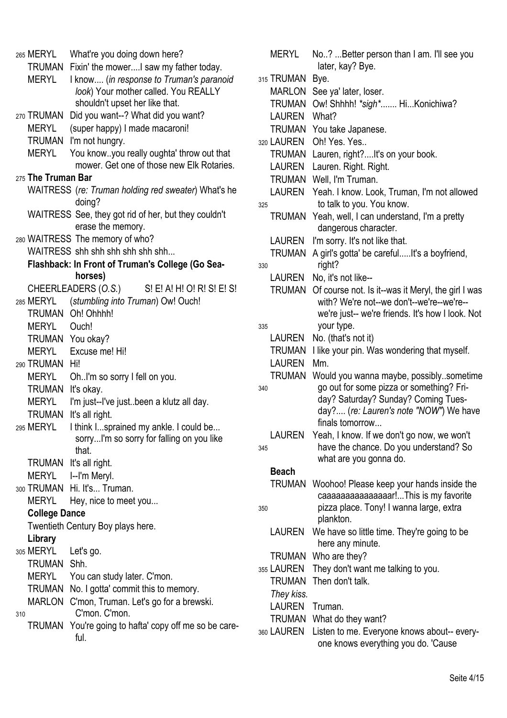|     | 265 MERYL            | What're you doing down here?                                                        |     | <b>MERYL</b>  | No?  Better person than I am. I'll see yo             |
|-----|----------------------|-------------------------------------------------------------------------------------|-----|---------------|-------------------------------------------------------|
|     |                      | TRUMAN Fixin' the mowerI saw my father today.                                       |     |               | later, kay? Bye.                                      |
|     | <b>MERYL</b>         | I know (in response to Truman's paranoid                                            |     | 315 TRUMAN    | Bye.                                                  |
|     |                      | look) Your mother called. You REALLY                                                |     |               | MARLON See ya' later, loser.                          |
|     |                      | shouldn't upset her like that.                                                      |     |               | TRUMAN Ow! Shhhh! *sigh * HiKonichiwa?                |
|     |                      | 270 TRUMAN Did you want--? What did you want?                                       |     | LAUREN        | What?                                                 |
|     | <b>MERYL</b>         | (super happy) I made macaroni!                                                      |     |               | TRUMAN You take Japanese.                             |
|     |                      | TRUMAN I'm not hungry.                                                              |     |               | 320 LAUREN Oh! Yes. Yes                               |
|     | <b>MERYL</b>         | You knowyou really oughta' throw out that                                           |     |               | TRUMAN Lauren, right?It's on your book.               |
|     |                      | mower. Get one of those new Elk Rotaries.                                           |     |               | LAUREN Lauren. Right. Right.                          |
|     | 275 The Truman Bar   |                                                                                     |     |               | TRUMAN Well, I'm Truman.                              |
|     |                      | WAITRESS (re: Truman holding red sweater) What's he                                 |     |               | LAUREN Yeah. I know. Look, Truman, I'm not allow      |
|     |                      | doing?                                                                              | 325 |               | to talk to you. You know.                             |
|     |                      | WAITRESS See, they got rid of her, but they couldn't                                |     |               | TRUMAN Yeah, well, I can understand, I'm a pretty     |
|     |                      | erase the memory.                                                                   |     |               | dangerous character.                                  |
|     |                      | 280 WAITRESS The memory of who?                                                     |     | <b>LAUREN</b> | I'm sorry. It's not like that.                        |
|     |                      | WAITRESS shh shh shh shh shh shh                                                    |     |               | TRUMAN A girl's gotta' be carefulIt's a boyfriend,    |
|     |                      | Flashback: In Front of Truman's College (Go Sea-                                    | 330 |               | right?                                                |
|     |                      | horses)                                                                             |     | LAUREN        | No, it's not like--                                   |
|     |                      | CHEERLEADERS (O.S.)<br>S! E! A! H! O! R! S! E! S!                                   |     |               | TRUMAN Of course not. Is it--was it Meryl, the girl I |
|     | 285 MERYL            | (stumbling into Truman) Ow! Ouch!                                                   |     |               | with? We're not--we don't--we're--we're--             |
|     | TRUMAN               | Oh! Ohhhh!                                                                          |     |               | we're just-- we're friends. It's how I look.          |
|     | <b>MERYL</b>         | Ouch!                                                                               | 335 |               | your type.                                            |
|     |                      | TRUMAN You okay?                                                                    |     | <b>LAUREN</b> | No. (that's not it)                                   |
|     | <b>MERYL</b>         | Excuse me! Hi!                                                                      |     |               | TRUMAN I like your pin. Was wondering that myself.    |
|     | 290 TRUMAN Hi!       |                                                                                     |     | LAUREN        | Mm.                                                   |
|     | <b>MERYL</b>         | OhI'm so sorry I fell on you.                                                       |     |               | TRUMAN Would you wanna maybe, possiblysomet           |
|     | <b>TRUMAN</b>        | It's okay.                                                                          | 340 |               | go out for some pizza or something? Fri-              |
|     | <b>MERYL</b>         | I'm just--I've just. been a klutz all day.                                          |     |               | day? Saturday? Sunday? Coming Tues-                   |
|     | <b>TRUMAN</b>        | It's all right.                                                                     |     |               | day? (re: Lauren's note "NOW") We ha                  |
|     | 295 MERYL            |                                                                                     |     |               | finals tomorrow                                       |
|     |                      | I think Isprained my ankle. I could be<br>sorryI'm so sorry for falling on you like |     |               | LAUREN Yeah, I know. If we don't go now, we won't     |
|     |                      | that.                                                                               | 345 |               | have the chance. Do you understand? So                |
|     | TRUMAN               | It's all right.                                                                     |     |               | what are you gonna do.                                |
|     | <b>MERYL</b>         |                                                                                     |     | <b>Beach</b>  |                                                       |
|     |                      | I--I'm Meryl.                                                                       |     |               | TRUMAN Woohoo! Please keep your hands inside th       |
|     |                      | 300 TRUMAN Hi. It's Truman.                                                         |     |               | caaaaaaaaaaaaaar!This is my favorite                  |
|     | <b>MERYL</b>         | Hey, nice to meet you                                                               | 350 |               | pizza place. Tony! I wanna large, extra               |
|     | <b>College Dance</b> |                                                                                     |     |               | plankton.                                             |
|     |                      | Twentieth Century Boy plays here.                                                   |     | LAUREN        | We have so little time. They're going to be           |
|     | Library              |                                                                                     |     |               | here any minute.                                      |
|     | 305 MERYL            | Let's go.                                                                           |     |               | TRUMAN Who are they?                                  |
|     | TRUMAN               | Shh.                                                                                |     | 355 LAUREN    | They don't want me talking to you.                    |
|     | <b>MERYL</b>         | You can study later. C'mon.                                                         |     | TRUMAN        | Then don't talk.                                      |
|     |                      | TRUMAN No. I gotta' commit this to memory.                                          |     | They kiss.    |                                                       |
|     |                      | MARLON C'mon, Truman. Let's go for a brewski.                                       |     | <b>LAUREN</b> | Truman.                                               |
| 310 |                      | C'mon. C'mon.                                                                       |     |               | TRUMAN What do they want?                             |
|     |                      | TRUMAN You're going to hafta' copy off me so be care-                               |     | 360 LAUREN    | Listen to me. Everyone knows about-- eve              |
|     |                      | ful.                                                                                |     |               | one knows everything you do. 'Cause                   |

| MERYL                | What're you doing down here?                                              | <b>MERYL</b>  | No?  Better person than I am. I'll see you                         |
|----------------------|---------------------------------------------------------------------------|---------------|--------------------------------------------------------------------|
| TRUMAN               | Fixin' the mowerI saw my father today.                                    |               | later, kay? Bye.                                                   |
| MERYL                | I know (in response to Truman's paranoid                                  | 315 TRUMAN    | Bye.                                                               |
|                      | look) Your mother called. You REALLY                                      |               | MARLON See ya' later, loser.                                       |
|                      | shouldn't upset her like that.                                            | TRUMAN        | Ow! Shhhh! *sigh* HiKonichiwa?                                     |
| TRUMAN               | Did you want--? What did you want?                                        | <b>LAUREN</b> | What?                                                              |
| MERYL                | (super happy) I made macaroni!                                            |               | TRUMAN You take Japanese.                                          |
| TRUMAN               | I'm not hungry.                                                           | 320 LAUREN    | Oh! Yes. Yes                                                       |
| MERYL                | You knowyou really oughta' throw out that                                 |               | TRUMAN Lauren, right?It's on your book.                            |
|                      | mower. Get one of those new Elk Rotaries.                                 | LAUREN        | Lauren. Right. Right.                                              |
| The Truman Bar       |                                                                           |               | TRUMAN Well, I'm Truman.                                           |
|                      | WAITRESS (re: Truman holding red sweater) What's he                       |               | LAUREN Yeah. I know. Look, Truman, I'm not allowed                 |
|                      | doing?                                                                    | 325           | to talk to you. You know.                                          |
|                      | WAITRESS See, they got rid of her, but they couldn't<br>erase the memory. | TRUMAN        | Yeah, well, I can understand, I'm a pretty<br>dangerous character. |
|                      | WAITRESS The memory of who?                                               | LAUREN        | I'm sorry. It's not like that.                                     |
|                      | WAITRESS shh shh shh shh shh shh                                          |               | TRUMAN A girl's gotta' be carefulIt's a boyfriend,                 |
|                      | Flashback: In Front of Truman's College (Go Sea-                          | 330           | right?                                                             |
|                      | horses)                                                                   | LAUREN        | No, it's not like--                                                |
|                      | CHEERLEADERS (O.S.)<br>S! E! A! H! O! R! S! E! S!                         |               | TRUMAN Of course not. Is it--was it Meryl, the girl I was          |
| MERYL                | (stumbling into Truman) Ow! Ouch!                                         |               | with? We're not--we don't--we're--we're--                          |
| TRUMAN               | Oh! Ohhhh!                                                                |               | we're just-- we're friends. It's how I look. Not                   |
| MERYL                | Ouch!                                                                     | 335           | your type.                                                         |
| TRUMAN               | You okay?                                                                 | <b>LAUREN</b> | No. (that's not it)                                                |
| MERYL                | Excuse me! Hi!                                                            | <b>TRUMAN</b> | I like your pin. Was wondering that myself.                        |
| TRUMAN               | Hi!                                                                       | <b>LAUREN</b> | Mm.                                                                |
| MERYL                | OhI'm so sorry I fell on you.                                             | TRUMAN        | Would you wanna maybe, possibly. sometime                          |
| TRUMAN               | It's okay.                                                                | 340           | go out for some pizza or something? Fri-                           |
| MERYL                | I'm just--I've justbeen a klutz all day.                                  |               | day? Saturday? Sunday? Coming Tues-                                |
| <b>TRUMAN</b>        | It's all right.                                                           |               | day? (re: Lauren's note "NOW") We have                             |
| <b>MERYL</b>         | I think Isprained my ankle. I could be                                    |               | finals tomorrow.                                                   |
|                      | sorryI'm so sorry for falling on you like                                 | <b>LAUREN</b> | Yeah, I know. If we don't go now, we won't                         |
|                      | that.                                                                     | 345           | have the chance. Do you understand? So                             |
| TRUMAN               | It's all right.                                                           |               | what are you gonna do.                                             |
| MERYL                | I--I'm Meryl.                                                             | <b>Beach</b>  |                                                                    |
| TRUMAN               | Hi. It's Truman.                                                          | TRUMAN        | Woohoo! Please keep your hands inside the                          |
| <b>MERYL</b>         | Hey, nice to meet you                                                     |               | caaaaaaaaaaaaaaar!This is my favorite                              |
| <b>College Dance</b> |                                                                           | 350           | pizza place. Tony! I wanna large, extra<br>plankton.               |
|                      | Twentieth Century Boy plays here.                                         | LAUREN        | We have so little time. They're going to be                        |
| Library              |                                                                           |               | here any minute.                                                   |
| MERYL                | Let's go.                                                                 | TRUMAN        | Who are they?                                                      |
| TRUMAN               | Shh.                                                                      | 355 LAUREN    | They don't want me talking to you.                                 |
| MERYL                | You can study later. C'mon.                                               | <b>TRUMAN</b> | Then don't talk.                                                   |
| TRUMAN               | No. I gotta' commit this to memory.                                       | They kiss.    |                                                                    |
| MARLON               | C'mon, Truman. Let's go for a brewski.                                    | <b>LAUREN</b> | Truman.                                                            |
|                      | C'mon. C'mon.                                                             |               | TRUMAN What do they want?                                          |
|                      | TRUMAN You're going to hafta' copy off me so be care-                     | 360 LAUREN    | Listen to me. Everyone knows about-- every-                        |
|                      | ful.                                                                      |               | one knows everything you do. 'Cause                                |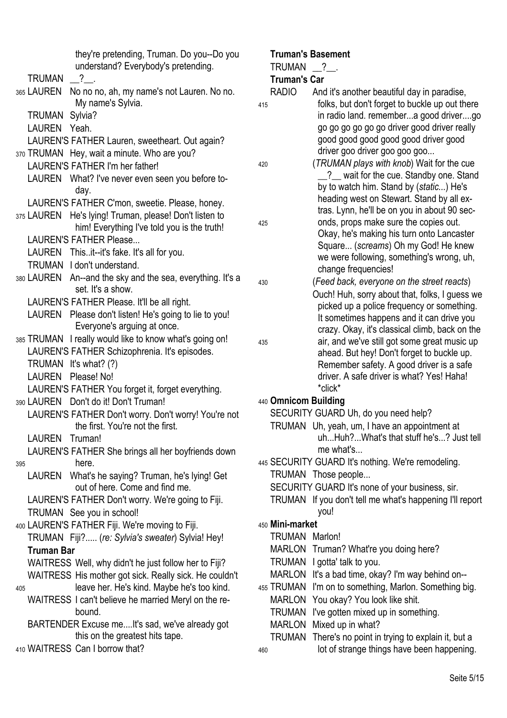they're pretending, Truman. Do you--Do you **Truman's Basement**  understand? Everybody's pretending. TRUMAN ? TRUMAN \_\_?\_\_. **Truman's Car**  LAUREN No no no, ah, my name's not Lauren. No no. 365 My name's Sylvia. 370 TRUMAN Hey, wait a minute. Who are you? 375 LAUREN He's lying! Truman, please! Don't listen to 380 LAUREN An--and the sky and the sea, everything. It's a<br>set. It's a show.<br>Oughl Hub sorry about that folks I quess in 385 TRUMAN I really would like to know what's going on! 390 LAUREN Don't do it! Don't Truman! **Omnicom Building**  395 400 LAUREN'S FATHER Fiji. We're moving to Fiji. **Mini-market**  405 410 WAITRESS Can I borrow that? **interpret and the strange of strange things have been happening.** 415 TRUMAN Sylvia? LAUREN Yeah. LAUREN'S FATHER Lauren, sweetheart. Out again? LAUREN'S FATHER I'm her father! LAUREN What? I've never even seen you before today. LAUREN'S FATHER C'mon, sweetie. Please, honey. him! Everything I've told you is the truth! LAUREN'S FATHER Please... LAUREN This..it--it's fake. It's all for you. TRUMAN I don't understand. LAUREN'S FATHER Please. It'll be all right. LAUREN Please don't listen! He's going to lie to you! Everyone's arguing at once. LAUREN'S FATHER Schizophrenia. It's episodes. TRUMAN It's what? (?) LAUREN Please! No! LAUREN'S FATHER You forget it, forget everything. LAUREN'S FATHER Don't worry. Don't worry! You're no LAUREN Truman! LAUREN'S FATHER She brings all her boyfriends down LAUREN What's he saving? Truman, he's lying! Get LAUREN'S FATHER Don't worry. We're going to Fiji. TRUMAN See you in school! TRUMAN Fiji?..... (re: Sylvia's sweater) Sylvia! Hey! **Truman Bar MARLON Truman?** What're you doing here? WAITRESS Well, why didn't he just follow her to Fiji? WAITRESS His mother got sick. Really sick. He couldn't MARLON It's a bad time, okay? I'm way behind on--WAITRESS I can't believe he married Meryl on the re-BARTENDER Excuse me....It's sad, we've already got this on the greatest hits tape.

| TRUMAN Sylvia?<br>LAUREN Yeah.<br>LAUREN'S FATHER Lauren, sweetheart. Out again?<br>TRUMAN Hey, wait a minute. Who are you?<br>LAUREN'S FATHER I'm her father!<br>LAUREN What? I've never even seen you before to-<br>day.<br>LAUREN'S FATHER C'mon, sweetie. Please, honey.<br>LAUREN He's lying! Truman, please! Don't listen to<br>him! Everything I've told you is the truth!<br>LAUREN'S FATHER Please | in radio land. remembera good drivergo<br>go go go go go go driver good driver really<br>good good good good good driver good<br>driver goo driver goo goo goo<br>(TRUMAN plays with knob) Wait for the cue<br>420<br>__? wait for the cue. Standby one. Stand<br>by to watch him. Stand by (static) He's<br>heading west on Stewart. Stand by all ex-<br>tras. Lynn, he'll be on you in about 90 sec-<br>onds, props make sure the copies out.<br>425<br>Okay, he's making his turn onto Lancaster |
|-------------------------------------------------------------------------------------------------------------------------------------------------------------------------------------------------------------------------------------------------------------------------------------------------------------------------------------------------------------------------------------------------------------|-----------------------------------------------------------------------------------------------------------------------------------------------------------------------------------------------------------------------------------------------------------------------------------------------------------------------------------------------------------------------------------------------------------------------------------------------------------------------------------------------------|
| LAUREN Thisit--it's fake. It's all for you.<br>TRUMAN I don't understand.<br>LAUREN An--and the sky and the sea, everything. It's a                                                                                                                                                                                                                                                                         | Square (screams) Oh my God! He knew<br>we were following, something's wrong, uh,<br>change frequencies!<br>(Feed back, everyone on the street reacts)<br>430                                                                                                                                                                                                                                                                                                                                        |
| set. It's a show.<br>LAUREN'S FATHER Please. It'll be all right.<br>LAUREN Please don't listen! He's going to lie to you!<br>Everyone's arguing at once.                                                                                                                                                                                                                                                    | Ouch! Huh, sorry about that, folks, I guess we<br>picked up a police frequency or something.<br>It sometimes happens and it can drive you<br>crazy. Okay, it's classical climb, back on the                                                                                                                                                                                                                                                                                                         |
| TRUMAN I really would like to know what's going on!<br>LAUREN'S FATHER Schizophrenia. It's episodes.<br>TRUMAN It's what? (?)<br>LAUREN Please! No!<br>LAUREN'S FATHER You forget it, forget everything.                                                                                                                                                                                                    | air, and we've still got some great music up<br>435<br>ahead. But hey! Don't forget to buckle up.<br>Remember safety. A good driver is a safe<br>driver. A safe driver is what? Yes! Haha!<br>*click*                                                                                                                                                                                                                                                                                               |
| LAUREN Don't do it! Don't Truman!                                                                                                                                                                                                                                                                                                                                                                           | 440 Omnicom Building                                                                                                                                                                                                                                                                                                                                                                                                                                                                                |
| LAUREN'S FATHER Don't worry. Don't worry! You're not                                                                                                                                                                                                                                                                                                                                                        | SECURITY GUARD Uh, do you need help?                                                                                                                                                                                                                                                                                                                                                                                                                                                                |
| the first. You're not the first.<br>LAUREN Truman!                                                                                                                                                                                                                                                                                                                                                          | TRUMAN Uh, yeah, um, I have an appointment at<br>uhHuh?What's that stuff he's? Just tell                                                                                                                                                                                                                                                                                                                                                                                                            |
| LAUREN'S FATHER She brings all her boyfriends down                                                                                                                                                                                                                                                                                                                                                          | me what's                                                                                                                                                                                                                                                                                                                                                                                                                                                                                           |
| here.                                                                                                                                                                                                                                                                                                                                                                                                       | 445 SECURITY GUARD It's nothing. We're remodeling.                                                                                                                                                                                                                                                                                                                                                                                                                                                  |
| What's he saying? Truman, he's lying! Get<br>LAUREN                                                                                                                                                                                                                                                                                                                                                         | TRUMAN Those people                                                                                                                                                                                                                                                                                                                                                                                                                                                                                 |
| out of here. Come and find me.                                                                                                                                                                                                                                                                                                                                                                              | SECURITY GUARD It's none of your business, sir.                                                                                                                                                                                                                                                                                                                                                                                                                                                     |
| LAUREN'S FATHER Don't worry. We're going to Fiji.                                                                                                                                                                                                                                                                                                                                                           | TRUMAN If you don't tell me what's happening I'll report                                                                                                                                                                                                                                                                                                                                                                                                                                            |
| TRUMAN See you in school!                                                                                                                                                                                                                                                                                                                                                                                   | you!                                                                                                                                                                                                                                                                                                                                                                                                                                                                                                |
| LAUREN'S FATHER Fiji. We're moving to Fiji.                                                                                                                                                                                                                                                                                                                                                                 | 450 Mini-market                                                                                                                                                                                                                                                                                                                                                                                                                                                                                     |
| TRUMAN Fiji? (re: Sylvia's sweater) Sylvia! Hey!                                                                                                                                                                                                                                                                                                                                                            | <b>TRUMAN Marlon!</b>                                                                                                                                                                                                                                                                                                                                                                                                                                                                               |
| Truman Bar                                                                                                                                                                                                                                                                                                                                                                                                  | MARLON Truman? What're you doing here?                                                                                                                                                                                                                                                                                                                                                                                                                                                              |
| WAITRESS Well, why didn't he just follow her to Fiji?                                                                                                                                                                                                                                                                                                                                                       | TRUMAN I gotta' talk to you.                                                                                                                                                                                                                                                                                                                                                                                                                                                                        |
| WAITRESS His mother got sick. Really sick. He couldn't                                                                                                                                                                                                                                                                                                                                                      | MARLON It's a bad time, okay? I'm way behind on--                                                                                                                                                                                                                                                                                                                                                                                                                                                   |
| leave her. He's kind. Maybe he's too kind.                                                                                                                                                                                                                                                                                                                                                                  | 455 TRUMAN I'm on to something, Marlon. Something big.                                                                                                                                                                                                                                                                                                                                                                                                                                              |
| WAITRESS I can't believe he married Meryl on the re-                                                                                                                                                                                                                                                                                                                                                        | MARLON You okay? You look like shit.                                                                                                                                                                                                                                                                                                                                                                                                                                                                |
| bound.                                                                                                                                                                                                                                                                                                                                                                                                      | TRUMAN I've gotten mixed up in something.                                                                                                                                                                                                                                                                                                                                                                                                                                                           |
| BARTENDER Excuse meIt's sad, we've already got                                                                                                                                                                                                                                                                                                                                                              | MARLON Mixed up in what?                                                                                                                                                                                                                                                                                                                                                                                                                                                                            |
| this on the greatest hits tape.                                                                                                                                                                                                                                                                                                                                                                             | TRUMAN There's no point in trying to explain it, but a                                                                                                                                                                                                                                                                                                                                                                                                                                              |
| WAITRESS Can I borrow that?                                                                                                                                                                                                                                                                                                                                                                                 | lot of strange things have been happening.<br>460                                                                                                                                                                                                                                                                                                                                                                                                                                                   |
|                                                                                                                                                                                                                                                                                                                                                                                                             | Seite 5/15                                                                                                                                                                                                                                                                                                                                                                                                                                                                                          |

RADIO And it's another beautiful day in paradise,

folks, but don't forget to buckle up out there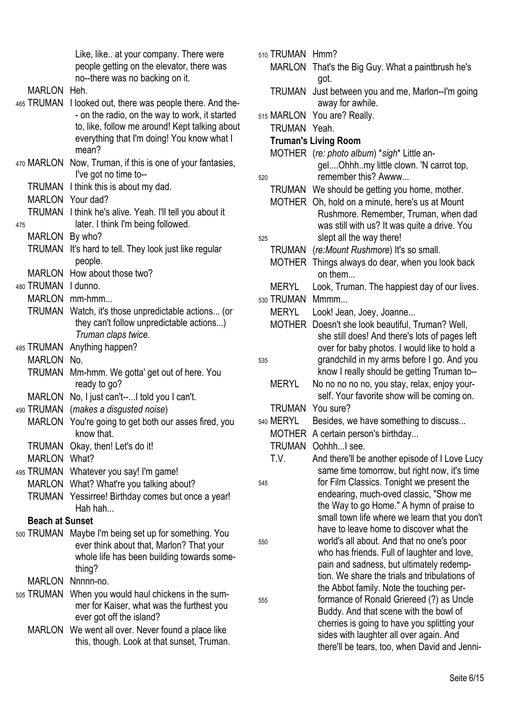|                        | Like, like at your company. There were                                                           |     | 510 TRUMAN Hmm? |                                                                                           |
|------------------------|--------------------------------------------------------------------------------------------------|-----|-----------------|-------------------------------------------------------------------------------------------|
|                        | people getting on the elevator, there was                                                        |     |                 | MARLON That's the Big Guy. What a paintbrush he's                                         |
|                        | no--there was no backing on it.                                                                  |     |                 | got.                                                                                      |
| MARLON Heh.            |                                                                                                  |     |                 | TRUMAN Just between you and me, Marlon--I'm going                                         |
|                        | 465 TRUMAN I looked out, there was people there. And the-                                        |     |                 | away for awhile.                                                                          |
|                        | - on the radio, on the way to work, it started<br>to, like, follow me around! Kept talking about |     |                 | 515 MARLON You are? Really.                                                               |
|                        | everything that I'm doing! You know what I                                                       |     | TRUMAN Yeah.    |                                                                                           |
|                        | mean?                                                                                            |     |                 | <b>Truman's Living Room</b>                                                               |
|                        | 470 MARLON Now, Truman, if this is one of your fantasies,                                        |     |                 | MOTHER (re: photo album) *sigh* Little an-                                                |
|                        | I've got no time to--                                                                            |     |                 | gelOhhhmy little clown. 'N carrot top,<br>remember this? Awww                             |
|                        | TRUMAN I think this is about my dad.                                                             | 520 |                 |                                                                                           |
|                        | MARLON Your dad?                                                                                 |     |                 | TRUMAN We should be getting you home, mother.                                             |
|                        | TRUMAN I think he's alive. Yeah. I'll tell you about it                                          |     |                 | MOTHER Oh, hold on a minute, here's us at Mount<br>Rushmore. Remember, Truman, when dad   |
| 475                    | later. I think I'm being followed.                                                               |     |                 | was still with us? It was quite a drive. You                                              |
| MARLON By who?         |                                                                                                  | 525 |                 | slept all the way there!                                                                  |
|                        | TRUMAN It's hard to tell. They look just like regular                                            |     | TRUMAN          | (re:Mount Rushmore) It's so small.                                                        |
|                        | people.                                                                                          |     |                 | MOTHER Things always do dear, when you look back                                          |
|                        | MARLON How about those two?                                                                      |     |                 | on them                                                                                   |
| 480 TRUMAN I dunno.    |                                                                                                  |     | <b>MERYL</b>    | Look, Truman. The happiest day of our lives.                                              |
|                        | MARLON mm-hmm                                                                                    |     | 530 TRUMAN      | Mmmm                                                                                      |
|                        | TRUMAN Watch, it's those unpredictable actions (or                                               |     | <b>MERYL</b>    | Look! Jean, Joey, Joanne                                                                  |
|                        | they can't follow unpredictable actions)                                                         |     |                 | MOTHER Doesn't she look beautiful, Truman? Well,                                          |
|                        | Truman claps twice.                                                                              |     |                 | she still does! And there's lots of pages left                                            |
|                        | 485 TRUMAN Anything happen?                                                                      |     |                 | over for baby photos. I would like to hold a                                              |
| MARLON No.             |                                                                                                  | 535 |                 | grandchild in my arms before I go. And you                                                |
|                        | TRUMAN Mm-hmm. We gotta' get out of here. You                                                    |     |                 | know I really should be getting Truman to--                                               |
|                        | ready to go?                                                                                     |     | <b>MERYL</b>    | No no no no no, you stay, relax, enjoy your-                                              |
|                        | MARLON No, I just can't--I told you I can't.                                                     |     |                 | self. Your favorite show will be coming on.                                               |
|                        | 490 TRUMAN (makes a disgusted noise)                                                             |     | <b>TRUMAN</b>   | You sure?                                                                                 |
|                        | MARLON You're going to get both our asses fired, you                                             |     | 540 MERYL       | Besides, we have something to discuss                                                     |
|                        | know that.                                                                                       |     |                 | MOTHER A certain person's birthday                                                        |
|                        | TRUMAN Okay, then! Let's do it!                                                                  |     | <b>TRUMAN</b>   | OohhhI see.                                                                               |
| MARLON What?           |                                                                                                  |     | T.V.            | And there'll be another episode of I Love Lucy                                            |
|                        | 495 TRUMAN Whatever you say! I'm game!                                                           |     |                 | same time tomorrow, but right now, it's time                                              |
|                        | MARLON What? What're you talking about?                                                          | 545 |                 | for Film Classics. Tonight we present the                                                 |
|                        | TRUMAN Yessirree! Birthday comes but once a year!                                                |     |                 | endearing, much-oved classic, "Show me                                                    |
|                        | Hah hah                                                                                          |     |                 | the Way to go Home." A hymn of praise to                                                  |
| <b>Beach at Sunset</b> |                                                                                                  |     |                 | small town life where we learn that you don't                                             |
|                        | 500 TRUMAN Maybe I'm being set up for something. You                                             |     |                 | have to leave home to discover what the                                                   |
|                        | ever think about that, Marlon? That your                                                         | 550 |                 | world's all about. And that no one's poor                                                 |
|                        | whole life has been building towards some-                                                       |     |                 | who has friends. Full of laughter and love,                                               |
|                        | thing?                                                                                           |     |                 | pain and sadness, but ultimately redemp-<br>tion. We share the trials and tribulations of |
|                        | MARLON Nnnnn-no.                                                                                 |     |                 | the Abbot family. Note the touching per-                                                  |
|                        | 505 TRUMAN When you would haul chickens in the sum-                                              | 555 |                 | formance of Ronald Griereed (?) as Uncle                                                  |
|                        | mer for Kaiser, what was the furthest you                                                        |     |                 | Buddy. And that scene with the bowl of                                                    |
|                        | ever got off the island?                                                                         |     |                 | cherries is going to have you splitting your                                              |
|                        | MARLON We went all over. Never found a place like                                                |     |                 | sides with laughter all over again. And                                                   |
|                        | this, though. Look at that sunset, Truman.                                                       |     |                 | there'll he tears too when David and Jonni                                                |

| Like, like at your company. There were                                       |     | 510 TRUMAN Hmm? |                                                                                            |
|------------------------------------------------------------------------------|-----|-----------------|--------------------------------------------------------------------------------------------|
| people getting on the elevator, there was<br>no--there was no backing on it. |     |                 | MARLON That's the Big Guy. What a paintbrush he's<br>got.                                  |
| eh.<br>looked out, there was people there. And the-                          |     |                 | TRUMAN Just between you and me, Marlon--I'm going<br>away for awhile.                      |
| - on the radio, on the way to work, it started                               |     |                 | 515 MARLON You are? Really.                                                                |
| to, like, follow me around! Kept talking about                               |     | TRUMAN Yeah.    |                                                                                            |
| everything that I'm doing! You know what I                                   |     |                 | <b>Truman's Living Room</b>                                                                |
| mean?                                                                        |     |                 | MOTHER (re: photo album) *sigh* Little an-                                                 |
| ow, Truman, if this is one of your fantasies,                                |     |                 | gelOhhhmy little clown. 'N carrot top,                                                     |
| I've got no time to--                                                        | 520 |                 | remember this? Awww                                                                        |
| think this is about my dad.                                                  |     |                 | TRUMAN We should be getting you home, mother.                                              |
| our dad?                                                                     |     |                 | MOTHER Oh, hold on a minute, here's us at Mount                                            |
| think he's alive. Yeah. I'll tell you about it                               |     |                 | Rushmore. Remember, Truman, when dad                                                       |
| later. I think I'm being followed.                                           |     |                 | was still with us? It was quite a drive. You                                               |
| y who?                                                                       | 525 |                 | slept all the way there!                                                                   |
| 's hard to tell. They look just like regular                                 |     |                 | TRUMAN (re:Mount Rushmore) It's so small.                                                  |
| people.                                                                      |     |                 | MOTHER Things always do dear, when you look back                                           |
| ow about those two?                                                          |     |                 | on them                                                                                    |
| dunno.                                                                       |     | <b>MERYL</b>    | Look, Truman. The happiest day of our lives.                                               |
| ım-hmm                                                                       |     | 530 TRUMAN      | Mmmm                                                                                       |
| /atch, it's those unpredictable actions (or                                  |     | <b>MERYL</b>    | Look! Jean, Joey, Joanne                                                                   |
| they can't follow unpredictable actions)<br>Truman claps twice.              |     |                 | MOTHER Doesn't she look beautiful, Truman? Well,                                           |
| nything happen?                                                              |     |                 | she still does! And there's lots of pages left                                             |
| 0.                                                                           | 535 |                 | over for baby photos. I would like to hold a<br>grandchild in my arms before I go. And you |
| Im-hmm. We gotta' get out of here. You                                       |     |                 | know I really should be getting Truman to--                                                |
| ready to go?                                                                 |     | <b>MERYL</b>    | No no no no no, you stay, relax, enjoy your-                                               |
| o, I just can't--I told you I can't.                                         |     |                 | self. Your favorite show will be coming on.                                                |
| nakes a disgusted noise)                                                     |     | <b>TRUMAN</b>   | You sure?                                                                                  |
| ou're going to get both our asses fired, you                                 |     | 540 MERYL       | Besides, we have something to discuss                                                      |
| know that.                                                                   |     |                 | MOTHER A certain person's birthday                                                         |
| kay, then! Let's do it!                                                      |     | TRUMAN          | OohhhI see.                                                                                |
| /hat?                                                                        |     | T.V.            | And there'll be another episode of I Love Lucy                                             |
| /hatever you say! I'm game!                                                  |     |                 | same time tomorrow, but right now, it's time                                               |
| hat? What're you talking about?                                              | 545 |                 | for Film Classics. Tonight we present the                                                  |
| essirree! Birthday comes but once a year!                                    |     |                 | endearing, much-oved classic, "Show me                                                     |
| Hah hah                                                                      |     |                 | the Way to go Home." A hymn of praise to                                                   |
| nset                                                                         |     |                 | small town life where we learn that you don't                                              |
| laybe I'm being set up for something. You                                    |     |                 | have to leave home to discover what the                                                    |
| ever think about that, Marlon? That your                                     | 550 |                 | world's all about. And that no one's poor                                                  |
| whole life has been building towards some-                                   |     |                 | who has friends. Full of laughter and love,                                                |
| thing?                                                                       |     |                 | pain and sadness, but ultimately redemp-<br>tion. We share the trials and tribulations of  |
| nnnn-no.                                                                     |     |                 | the Abbot family. Note the touching per-                                                   |
| hen you would haul chickens in the sum-                                      | 555 |                 | formance of Ronald Griereed (?) as Uncle                                                   |
| mer for Kaiser, what was the furthest you                                    |     |                 | Buddy. And that scene with the bowl of                                                     |
| ever got off the island?                                                     |     |                 | cherries is going to have you splitting your                                               |
| /e went all over. Never found a place like                                   |     |                 | sides with laughter all over again. And                                                    |

there'll be tears, too, when David and Jenni-

Seite 6/15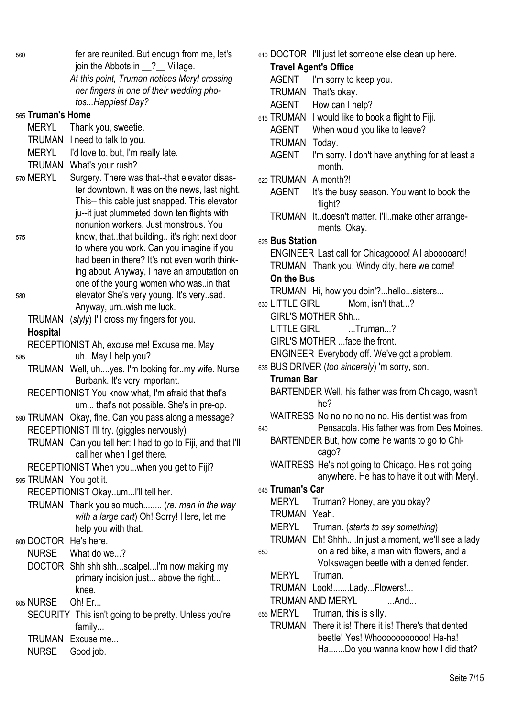| 560                           | fer are reunited. But enough from me, let's                                               | 610 DOCTOR I'll just let someone else clean up here.            |
|-------------------------------|-------------------------------------------------------------------------------------------|-----------------------------------------------------------------|
|                               | join the Abbots in __?__ Village.                                                         | <b>Travel Agent's Office</b>                                    |
|                               | At this point, Truman notices Meryl crossing                                              | <b>AGENT</b><br>I'm sorry to keep you.                          |
|                               | her fingers in one of their wedding pho-                                                  | TRUMAN<br>That's okay.                                          |
|                               | tosHappiest Day?                                                                          | <b>AGENT</b><br>How can I help?                                 |
|                               | 565 Truman's Home                                                                         | 615 TRUMAN I would like to book a flight to Fiji.               |
| <b>MERYL</b>                  | Thank you, sweetie.                                                                       | <b>AGENT</b><br>When would you like to leave?                   |
| <b>TRUMAN</b>                 | I need to talk to you.                                                                    | TRUMAN<br>Today.                                                |
| <b>MERYL</b><br><b>TRUMAN</b> | I'd love to, but, I'm really late.<br>What's your rush?                                   | <b>AGENT</b><br>I'm sorry. I don't have anything for at least a |
| 570 MERYL                     | Surgery. There was that--that elevator disas-                                             | month.<br>620 TRUMAN A month?!                                  |
|                               | ter downtown. It was on the news, last night.                                             | <b>AGENT</b>                                                    |
|                               | This-- this cable just snapped. This elevator                                             | It's the busy season. You want to book the<br>flight?           |
|                               | ju--it just plummeted down ten flights with                                               | TRUMAN Itdoesn't matter. I'llmake other arrange-                |
|                               | nonunion workers. Just monstrous. You                                                     | ments. Okay.                                                    |
| 575                           | know, that. that building it's right next door                                            | 625 Bus Station                                                 |
|                               | to where you work. Can you imagine if you                                                 | ENGINEER Last call for Chicagoooo! All abooooard!               |
|                               | had been in there? It's not even worth think-                                             | TRUMAN Thank you. Windy city, here we come!                     |
|                               | ing about. Anyway, I have an amputation on                                                | On the Bus                                                      |
|                               | one of the young women who wasin that                                                     | TRUMAN Hi, how you doin'?hellosisters                           |
| 580                           | elevator She's very young. It's verysad.                                                  | 630 LITTLE GIRL<br>Mom, isn't that?                             |
| <b>TRUMAN</b>                 | Anyway, um. wish me luck.<br>(slyly) I'll cross my fingers for you.                       | <b>GIRL'S MOTHER Shh</b>                                        |
| <b>Hospital</b>               |                                                                                           | <b>LITTLE GIRL</b><br>$$ Truman $$ ?                            |
|                               | RECEPTIONIST Ah, excuse me! Excuse me. May                                                | GIRL'S MOTHER face the front.                                   |
| 585                           | uhMay I help you?                                                                         | ENGINEER Everybody off. We've got a problem.                    |
|                               | TRUMAN Well, uhyes. I'm looking formy wife. Nurse                                         | 635 BUS DRIVER (too sincerely) 'm sorry, son.                   |
|                               | Burbank. It's very important.                                                             | <b>Truman Bar</b>                                               |
|                               | RECEPTIONIST You know what, I'm afraid that that's                                        | BARTENDER Well, his father was from Chicago, wasn't             |
|                               | um that's not possible. She's in pre-op.                                                  | he?                                                             |
|                               | 590 TRUMAN Okay, fine. Can you pass along a message?                                      | WAITRESS No no no no no no. His dentist was from                |
|                               | RECEPTIONIST I'll try. (giggles nervously)                                                | Pensacola. His father was from Des Moines<br>640                |
|                               | TRUMAN Can you tell her: I had to go to Fiji, and that I'll<br>call her when I get there. | BARTENDER But, how come he wants to go to Chi-<br>cago?         |
|                               | RECEPTIONIST When youwhen you get to Fiji?                                                | WAITRESS He's not going to Chicago. He's not going              |
|                               | 595 TRUMAN You got it.                                                                    | anywhere. He has to have it out with Meryl.                     |
|                               | RECEPTIONIST Okayum!'ll tell her.                                                         | 645 Truman's Car                                                |
|                               | TRUMAN Thank you so much (re: man in the way                                              | <b>MERYL</b><br>Truman? Honey, are you okay?                    |
|                               | with a large cart) Oh! Sorry! Here, let me                                                | TRUMAN<br>Yeah.                                                 |
|                               | help you with that.                                                                       | <b>MERYL</b><br>Truman. (starts to say something)               |
|                               | 600 DOCTOR He's here.                                                                     | TRUMAN Eh! ShhhIn just a moment, we'll see a lady               |
| <b>NURSE</b>                  | What do we?                                                                               | on a red bike, a man with flowers, and a<br>650                 |
|                               | DOCTOR Shh shh shhscalpelI'm now making my                                                | Volkswagen beetle with a dented fender.                         |
|                               | primary incision just above the right                                                     | <b>MERYL</b><br>Truman.                                         |
|                               | knee.                                                                                     | TRUMAN Look!LadyFlowers!                                        |
| 605 NURSE                     | Oh! Er                                                                                    | <b>TRUMAN AND MERYL</b><br>$$ And $$                            |
|                               | SECURITY This isn't going to be pretty. Unless you're                                     | 655 MERYL<br>Truman, this is silly.                             |
|                               | family                                                                                    | There it is! There it is! There's that dented<br>TRUMAN         |
|                               | TRUMAN Excuse me                                                                          | beetle! Yes! Whooooooooooo! Ha-ha!                              |
| <b>NURSE</b>                  | Good job.                                                                                 | HaDo you wanna know how I did that?                             |

|     |                             | <b>Travel Agent's Office</b>                                                   |
|-----|-----------------------------|--------------------------------------------------------------------------------|
|     | <b>AGENT</b>                | I'm sorry to keep you.                                                         |
|     |                             | TRUMAN That's okay.                                                            |
|     | AGENT                       | How can I help?                                                                |
|     |                             | 615 TRUMAN I would like to book a flight to Fiji.                              |
|     |                             | AGENT When would you like to leave?                                            |
|     | TRUMAN Today.               |                                                                                |
|     | AGENT                       | I'm sorry. I don't have anything for at least a<br>month.                      |
|     | 620 TRUMAN A month?!        |                                                                                |
|     | AGENT                       | It's the busy season. You want to book the<br>flight?                          |
|     |                             | TRUMAN Itdoesn't matter. I'llmake other arrange-<br>ments. Okay.               |
|     | <sub>625</sub> Bus Station  |                                                                                |
|     |                             | ENGINEER Last call for Chicagoooo! All abooooard!                              |
|     |                             | TRUMAN Thank you. Windy city, here we come!                                    |
|     | On the Bus                  |                                                                                |
|     |                             | TRUMAN Hi, how you doin'?hellosisters                                          |
|     | $_{630}$ LITTLE GIRL        | Mom, isn't that?                                                               |
|     |                             | <b>GIRL'S MOTHER Shh</b>                                                       |
|     | <b>LITTLE GIRL</b>          | Truman?                                                                        |
|     |                             | GIRL'S MOTHER face the front.                                                  |
|     |                             | ENGINEER Everybody off. We've got a problem.                                   |
|     |                             | 635 BUS DRIVER (too sincerely) 'm sorry, son.                                  |
|     | <b>Truman Bar</b>           |                                                                                |
|     |                             | BARTENDER Well, his father was from Chicago, wasn't                            |
|     |                             | he?                                                                            |
|     |                             | WAITRESS No no no no no no. His dentist was from                               |
| 640 |                             | Pensacola. His father was from Des Moines.                                     |
|     |                             | BARTENDER But, how come he wants to go to Chi-                                 |
|     |                             | cago?                                                                          |
|     |                             | WAITRESS He's not going to Chicago. He's not going                             |
|     |                             | anywhere. He has to have it out with Meryl.                                    |
|     | <sup>645</sup> Truman's Car |                                                                                |
|     | <b>MERYL</b>                | Truman? Honey, are you okay?                                                   |
|     | TRUMAN Yeah.                |                                                                                |
|     |                             | MERYL Truman. (starts to say something)                                        |
|     |                             | TRUMAN Eh! ShhhIn just a moment, we'll see a lady                              |
| 650 |                             | on a red bike, a man with flowers, and a                                       |
|     |                             | Volkswagen beetle with a dented fender.                                        |
|     | <b>MERYL</b>                | Truman.                                                                        |
|     |                             | TRUMAN Look!LadyFlowers!<br><b>TRUMAN AND MERYL</b><br>And                     |
|     | 655 MERYL                   |                                                                                |
|     |                             | Truman, this is silly.<br>TRUMAN There it is! There it is! There's that dented |
|     |                             |                                                                                |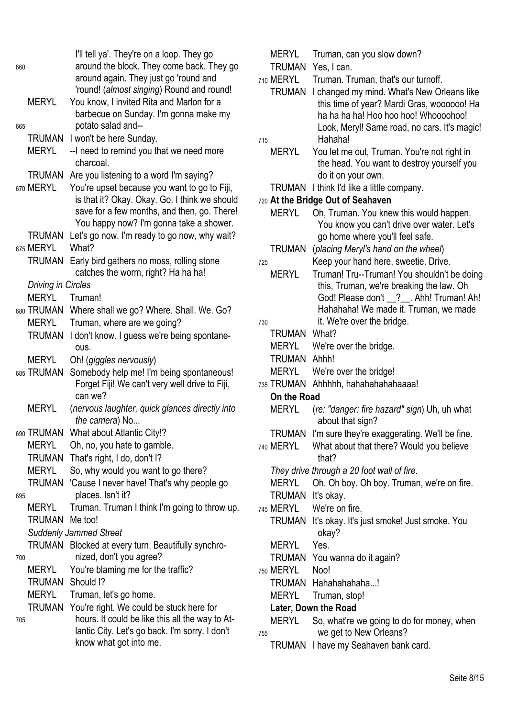|     |                    | I'll tell ya'. They're on a loop. They go                        |     | <b>MERYL</b>  | Truman, can you slow down?                                                                |
|-----|--------------------|------------------------------------------------------------------|-----|---------------|-------------------------------------------------------------------------------------------|
| 660 |                    | around the block. They come back. They go                        |     | <b>TRUMAN</b> | Yes, I can.                                                                               |
|     |                    | around again. They just go 'round and                            |     | 710 MERYL     | Truman. Truman, that's our turnoff.                                                       |
|     |                    | 'round! (almost singing) Round and round!                        |     | TRUMAN        | I changed my mind. What's New Orleans I                                                   |
|     | <b>MERYL</b>       | You know, I invited Rita and Marlon for a                        |     |               | this time of year? Mardi Gras, woooooo!                                                   |
|     |                    | barbecue on Sunday. I'm gonna make my                            |     |               | ha ha ha ha! Hoo hoo hoo! Whoooohoo!                                                      |
| 665 |                    | potato salad and--                                               |     |               | Look, Meryl! Same road, no cars. It's may                                                 |
|     |                    | TRUMAN I won't be here Sunday.                                   | 715 |               | Hahaha!                                                                                   |
|     | <b>MERYL</b>       | --I need to remind you that we need more<br>charcoal.            |     | <b>MERYL</b>  | You let me out, Truman. You're not right in<br>the head. You want to destroy yourself you |
|     |                    | TRUMAN Are you listening to a word I'm saying?                   |     |               | do it on your own.                                                                        |
|     | 670 MERYL          | You're upset because you want to go to Fiji,                     |     |               | TRUMAN I think I'd like a little company.                                                 |
|     |                    | is that it? Okay. Okay. Go. I think we should                    |     |               | 720 At the Bridge Out of Seahaven                                                         |
|     |                    | save for a few months, and then, go. There!                      |     | <b>MERYL</b>  | Oh, Truman. You knew this would happen                                                    |
|     |                    | You happy now? I'm gonna take a shower.                          |     |               | You know you can't drive over water. Let                                                  |
|     |                    | TRUMAN Let's go now. I'm ready to go now, why wait?              |     |               | go home where you'll feel safe.                                                           |
|     | 675 MERYL          | What?                                                            |     | TRUMAN        | (placing Meryl's hand on the wheel)                                                       |
|     |                    | TRUMAN Early bird gathers no moss, rolling stone                 | 725 |               | Keep your hand here, sweetie. Drive.                                                      |
|     |                    | catches the worm, right? Ha ha ha!                               |     | <b>MERYL</b>  | Truman! Tru--Truman! You shouldn't be do                                                  |
|     | Driving in Circles |                                                                  |     |               | this, Truman, we're breaking the law. Oh                                                  |
|     | <b>MERYL</b>       | Truman!                                                          |     |               | God! Please don't __? __ . Ahh! Truman!                                                   |
|     |                    | 680 TRUMAN Where shall we go? Where. Shall. We. Go?              |     |               | Hahahaha! We made it. Truman, we mad                                                      |
|     | MERYL              | Truman, where are we going?                                      | 730 |               | it. We're over the bridge.                                                                |
|     |                    | TRUMAN I don't know. I guess we're being spontane-               |     | TRUMAN What?  |                                                                                           |
|     |                    | ous.                                                             |     | <b>MERYL</b>  | We're over the bridge.                                                                    |
|     | <b>MERYL</b>       | Oh! (giggles nervously)                                          |     | TRUMAN Ahhh!  |                                                                                           |
|     |                    | 685 TRUMAN Somebody help me! I'm being spontaneous!              |     | <b>MERYL</b>  | We're over the bridge!                                                                    |
|     |                    | Forget Fiji! We can't very well drive to Fiji,                   |     |               | 735 TRUMAN Ahhhhh, hahahahahahaaaa!                                                       |
|     |                    | can we?                                                          |     | On the Road   |                                                                                           |
|     | <b>MERYL</b>       | (nervous laughter, quick glances directly into<br>the camera) No |     | <b>MERYL</b>  | (re: "danger: fire hazard" sign) Uh, uh wha<br>about that sign?                           |
|     |                    | 690 TRUMAN What about Atlantic City!?                            |     |               | TRUMAN I'm sure they're exaggerating. We'll be fine                                       |
|     | <b>MERYL</b>       | Oh, no, you hate to gamble.                                      |     | 740 MERYL     | What about that there? Would you believe                                                  |
|     |                    | TRUMAN That's right, I do, don't I?                              |     |               | that?                                                                                     |
|     | <b>MERYL</b>       | So, why would you want to go there?                              |     |               | They drive through a 20 foot wall of fire.                                                |
|     |                    | TRUMAN 'Cause I never have! That's why people go                 |     | <b>MERYL</b>  | Oh. Oh boy. Oh boy. Truman, we're on fire                                                 |
| 695 |                    | places. Isn't it?                                                |     | <b>TRUMAN</b> | It's okay.                                                                                |
|     | <b>MERYL</b>       | Truman. Truman I think I'm going to throw up.                    |     | 745 MERYL     | We're on fire.                                                                            |
|     | TRUMAN Me too!     |                                                                  |     |               | TRUMAN It's okay. It's just smoke! Just smoke. You                                        |
|     |                    | <b>Suddenly Jammed Street</b>                                    |     |               | okay?                                                                                     |
|     |                    | TRUMAN Blocked at every turn. Beautifully synchro-               |     | <b>MERYL</b>  | Yes.                                                                                      |
| 700 |                    | nized, don't you agree?                                          |     | <b>TRUMAN</b> | You wanna do it again?                                                                    |
|     | <b>MERYL</b>       | You're blaming me for the traffic?                               |     | 750 MERYL     | Noo!                                                                                      |
|     | TRUMAN Should I?   |                                                                  |     |               | TRUMAN Hahahahahaha!                                                                      |
|     | <b>MERYL</b>       | Truman, let's go home.                                           |     | <b>MERYL</b>  | Truman, stop!                                                                             |
|     |                    | TRUMAN You're right. We could be stuck here for                  |     |               | Later, Down the Road                                                                      |
| 705 |                    | hours. It could be like this all the way to At-                  |     | <b>MERYL</b>  | So, what're we going to do for money, when                                                |
|     |                    | lantic City. Let's go back. I'm sorry. I don't                   | 755 |               | we get to New Orleans?                                                                    |
|     |                    | know what got into me.                                           |     |               | TRUMAN I have my Seahaven bank card.                                                      |

|                    | I'll tell ya'. They're on a loop. They go<br>around the block. They come back. They go                   |     | <b>MERYL</b><br><b>TRUMAN</b> | Truman, can you slow down?<br>Yes, I can.                                                                                          |
|--------------------|----------------------------------------------------------------------------------------------------------|-----|-------------------------------|------------------------------------------------------------------------------------------------------------------------------------|
|                    | around again. They just go 'round and<br>'round! (almost singing) Round and round!                       |     | 710 MERYL<br><b>TRUMAN</b>    | Truman. Truman, that's our turnoff.<br>I changed my mind. What's New Orleans like                                                  |
| MERYL              | You know, I invited Rita and Marlon for a<br>barbecue on Sunday. I'm gonna make my<br>potato salad and-- |     |                               | this time of year? Mardi Gras, woooooo! Ha<br>ha ha ha ha! Hoo hoo hoo! Whoooohoo!<br>Look, Meryl! Same road, no cars. It's magic! |
| TRUMAN             | I won't be here Sunday.                                                                                  | 715 |                               | Hahaha!                                                                                                                            |
| <b>MERYL</b>       | --I need to remind you that we need more<br>charcoal.                                                    |     | <b>MERYL</b>                  | You let me out, Truman. You're not right in<br>the head. You want to destroy yourself you                                          |
| TRUMAN             | Are you listening to a word I'm saying?                                                                  |     |                               | do it on your own.                                                                                                                 |
| MERYL              | You're upset because you want to go to Fiji,                                                             |     |                               | TRUMAN I think I'd like a little company.                                                                                          |
|                    | is that it? Okay. Okay. Go. I think we should                                                            |     |                               | 720 At the Bridge Out of Seahaven                                                                                                  |
|                    | save for a few months, and then, go. There!                                                              |     | <b>MERYL</b>                  | Oh, Truman. You knew this would happen.                                                                                            |
|                    | You happy now? I'm gonna take a shower.                                                                  |     |                               | You know you can't drive over water. Let's                                                                                         |
| TRUMAN             | Let's go now. I'm ready to go now, why wait?                                                             |     |                               | go home where you'll feel safe.                                                                                                    |
| MERYL              | What?                                                                                                    |     | <b>TRUMAN</b>                 | (placing Meryl's hand on the wheel)                                                                                                |
| TRUMAN             | Early bird gathers no moss, rolling stone                                                                | 725 |                               | Keep your hand here, sweetie. Drive.                                                                                               |
|                    | catches the worm, right? Ha ha ha!                                                                       |     | <b>MERYL</b>                  | Truman! Tru--Truman! You shouldn't be doing                                                                                        |
| Driving in Circles |                                                                                                          |     |                               | this, Truman, we're breaking the law. Oh                                                                                           |
| MERYL              | Truman!                                                                                                  |     |                               | God! Please don't _?_. Ahh! Truman! Ah!                                                                                            |
| TRUMAN             | Where shall we go? Where. Shall. We. Go?                                                                 |     |                               | Hahahaha! We made it. Truman, we made                                                                                              |
| MERYL              | Truman, where are we going?                                                                              | 730 |                               | it. We're over the bridge.<br>What?                                                                                                |
| TRUMAN             | I don't know. I guess we're being spontane-                                                              |     | TRUMAN<br><b>MERYL</b>        |                                                                                                                                    |
|                    | ous.                                                                                                     |     |                               | We're over the bridge.                                                                                                             |
| MERYL              | Oh! (giggles nervously)                                                                                  |     | TRUMAN Ahhh!                  |                                                                                                                                    |
| TRUMAN             | Somebody help me! I'm being spontaneous!                                                                 |     | <b>MERYL</b>                  | We're over the bridge!                                                                                                             |
|                    | Forget Fiji! We can't very well drive to Fiji,<br>can we?                                                |     |                               | 735 TRUMAN Ahhhhh, hahahahahahaaaa!                                                                                                |
|                    |                                                                                                          |     | On the Road                   |                                                                                                                                    |
| MERYL              | (nervous laughter, quick glances directly into<br>the camera) No                                         |     | <b>MERYL</b>                  | (re: "danger: fire hazard" sign) Uh, uh what<br>about that sign?                                                                   |
|                    | TRUMAN What about Atlantic City!?                                                                        |     |                               | TRUMAN I'm sure they're exaggerating. We'll be fine.                                                                               |
| MERYL              | Oh, no, you hate to gamble.                                                                              |     | 740 MERYL                     | What about that there? Would you believe                                                                                           |
| TRUMAN             | That's right, I do, don't I?                                                                             |     |                               | that?                                                                                                                              |
| MERYL              | So, why would you want to go there?                                                                      |     |                               | They drive through a 20 foot wall of fire.                                                                                         |
| TRUMAN             | 'Cause I never have! That's why people go                                                                |     | <b>MERYL</b>                  | Oh. Oh boy. Oh boy. Truman, we're on fire.                                                                                         |
|                    | places. Isn't it?                                                                                        |     | TRUMAN                        | It's okay.                                                                                                                         |
| MERYL              | Truman. Truman I think I'm going to throw up.                                                            |     | 745 MERYL                     | We're on fire.                                                                                                                     |
| TRUMAN             | Me too!                                                                                                  |     | TRUMAN                        | It's okay. It's just smoke! Just smoke. You                                                                                        |
|                    | <b>Suddenly Jammed Street</b>                                                                            |     |                               | okay?                                                                                                                              |
|                    | TRUMAN Blocked at every turn. Beautifully synchro-                                                       |     | <b>MERYL</b>                  | Yes.                                                                                                                               |
|                    | nized, don't you agree?                                                                                  |     | TRUMAN                        | You wanna do it again?                                                                                                             |
| MERYL              | You're blaming me for the traffic?                                                                       |     | 750 MERYL                     | Noo!                                                                                                                               |
| TRUMAN             | Should I?                                                                                                |     | TRUMAN                        | Hahahahahaha!                                                                                                                      |
| MERYL              | Truman, let's go home.                                                                                   |     | <b>MERYL</b>                  | Truman, stop!                                                                                                                      |
| TRUMAN             | You're right. We could be stuck here for                                                                 |     |                               | Later, Down the Road                                                                                                               |
|                    | hours. It could be like this all the way to At-                                                          |     | <b>MERYL</b>                  | So, what're we going to do for money, when                                                                                         |
|                    | lantic City. Let's go back. I'm sorry. I don't                                                           | 755 |                               | we get to New Orleans?                                                                                                             |

TRUMAN I have my Seahaven bank card.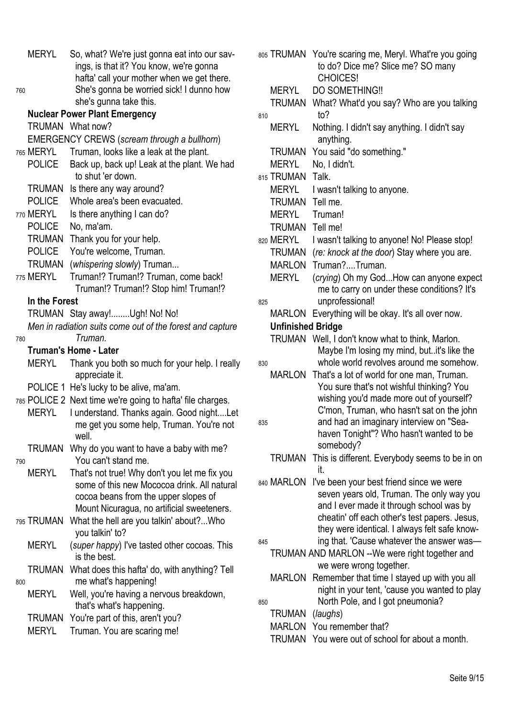|     | <b>MERYL</b>  | So, what? We're just gonna eat into our sav-<br>ings, is that it? You know, we're gonna<br>hafta' call your mother when we get there. |     |                          | 805 TRUMAN You're scaring me, Meryl. What're you go<br>to do? Dice me? Slice me? SO many<br><b>CHOICES!</b> |
|-----|---------------|---------------------------------------------------------------------------------------------------------------------------------------|-----|--------------------------|-------------------------------------------------------------------------------------------------------------|
| 760 |               | She's gonna be worried sick! I dunno how                                                                                              |     | <b>MERYL</b>             | DO SOMETHING!!                                                                                              |
|     |               | she's gunna take this.                                                                                                                |     |                          | TRUMAN What? What'd you say? Who are you talk                                                               |
|     |               | <b>Nuclear Power Plant Emergency</b>                                                                                                  | 810 |                          | to?                                                                                                         |
|     |               | TRUMAN What now?                                                                                                                      |     | <b>MERYL</b>             | Nothing. I didn't say anything. I didn't say                                                                |
|     |               | EMERGENCY CREWS (scream through a bullhorn)                                                                                           |     |                          | anything.                                                                                                   |
|     | 765 MERYL     | Truman, looks like a leak at the plant.                                                                                               |     |                          | TRUMAN You said "do something."                                                                             |
|     | <b>POLICE</b> | Back up, back up! Leak at the plant. We had                                                                                           |     | <b>MERYL</b>             | No, I didn't.                                                                                               |
|     |               | to shut 'er down.                                                                                                                     |     | 815 TRUMAN               | Talk.                                                                                                       |
|     |               | TRUMAN Is there any way around?                                                                                                       |     | <b>MERYL</b>             | I wasn't talking to anyone.                                                                                 |
|     | <b>POLICE</b> | Whole area's been evacuated.                                                                                                          |     | TRUMAN                   | Tell me.                                                                                                    |
|     | 770 MERYL     | Is there anything I can do?                                                                                                           |     | <b>MERYL</b>             | Truman!                                                                                                     |
|     | <b>POLICE</b> | No, ma'am.                                                                                                                            |     | TRUMAN Tell me!          |                                                                                                             |
|     |               | TRUMAN Thank you for your help.                                                                                                       |     | 820 MERYL                | I wasn't talking to anyone! No! Please sto                                                                  |
|     | <b>POLICE</b> | You're welcome, Truman.                                                                                                               |     |                          | TRUMAN (re: knock at the door) Stay where you are                                                           |
|     |               | TRUMAN (whispering slowly) Truman                                                                                                     |     |                          | MARLON Truman?Truman.                                                                                       |
|     | 775 MERYL     | Truman!? Truman!? Truman, come back!<br>Truman!? Truman!? Stop him! Truman!?                                                          |     | MERYL                    | (crying) Oh my GodHow can anyone ex<br>me to carry on under these conditions?                               |
|     | In the Forest |                                                                                                                                       | 825 |                          | unprofessional!                                                                                             |
|     |               | TRUMAN Stay away!Ugh! No! No!                                                                                                         |     |                          | MARLON Everything will be okay. It's all over now.                                                          |
|     |               | Men in radiation suits come out of the forest and capture                                                                             |     | <b>Unfinished Bridge</b> |                                                                                                             |
| 780 |               | Truman.                                                                                                                               |     |                          | TRUMAN Well, I don't know what to think, Marlon.                                                            |
|     |               | <b>Truman's Home - Later</b>                                                                                                          |     |                          | Maybe I'm losing my mind, but. it's like th                                                                 |
|     | <b>MERYL</b>  | Thank you both so much for your help. I really                                                                                        | 830 |                          | whole world revolves around me someh                                                                        |
|     |               | appreciate it.                                                                                                                        |     | MARLON                   | That's a lot of world for one man, Truman                                                                   |
|     |               | POLICE 1 He's lucky to be alive, ma'am.                                                                                               |     |                          | You sure that's not wishful thinking? You                                                                   |
|     |               | 785 POLICE 2 Next time we're going to hafta' file charges.                                                                            |     |                          | wishing you'd made more out of yoursel                                                                      |
|     | <b>MERYL</b>  | I understand. Thanks again. Good nightLet                                                                                             |     |                          | C'mon, Truman, who hasn't sat on the jo                                                                     |
|     |               | me get you some help, Truman. You're not                                                                                              | 835 |                          | and had an imaginary interview on "Sea<br>haven Tonight"? Who hasn't wanted to b                            |
|     |               | well.                                                                                                                                 |     |                          | somebody?                                                                                                   |
|     |               | TRUMAN Why do you want to have a baby with me?                                                                                        |     | TRUMAN                   | This is different. Everybody seems to be i                                                                  |
| 790 |               | You can't stand me.<br>That's not true! Why don't you let me fix you                                                                  |     |                          | it.                                                                                                         |
|     | <b>MERYL</b>  | some of this new Mococoa drink. All natural                                                                                           |     | 840 MARLON               | I've been your best friend since we were                                                                    |
|     |               | cocoa beans from the upper slopes of                                                                                                  |     |                          | seven years old, Truman. The only way                                                                       |
|     |               | Mount Nicuragua, no artificial sweeteners.                                                                                            |     |                          | and I ever made it through school was b                                                                     |
|     |               | 795 TRUMAN What the hell are you talkin' about?Who                                                                                    |     |                          | cheatin' off each other's test papers. Jes                                                                  |
|     |               | you talkin' to?                                                                                                                       |     |                          | they were identical. I always felt safe know                                                                |
|     | <b>MERYL</b>  | (super happy) I've tasted other cocoas. This                                                                                          | 845 |                          | ing that. 'Cause whatever the answer way                                                                    |
|     |               | is the best.                                                                                                                          |     |                          | TRUMAN AND MARLON -- We were right together are                                                             |
|     |               | TRUMAN What does this hafta' do, with anything? Tell                                                                                  |     |                          | we were wrong together.                                                                                     |
| 800 |               | me what's happening!                                                                                                                  |     |                          | MARLON Remember that time I stayed up with you                                                              |
|     | <b>MERYL</b>  | Well, you're having a nervous breakdown,                                                                                              |     |                          | night in your tent, 'cause you wanted to                                                                    |
|     |               | that's what's happening.                                                                                                              | 850 |                          | North Pole, and I got pneumonia?                                                                            |
|     |               | TRUMAN You're part of this, aren't you?                                                                                               |     | <b>TRUMAN</b>            | (laughs)                                                                                                    |
|     | <b>MERYL</b>  | Truman. You are scaring me!                                                                                                           |     |                          | MARLON You remember that?                                                                                   |

| <b>MERYL</b>  | So, what? We're just gonna eat into our sav-<br>ings, is that it? You know, we're gonna<br>hafta' call your mother when we get there.                                              |     |                          | 805 TRUMAN You're scaring me, Meryl. What're you going<br>to do? Dice me? Slice me? SO many<br><b>CHOICES!</b>                    |
|---------------|------------------------------------------------------------------------------------------------------------------------------------------------------------------------------------|-----|--------------------------|-----------------------------------------------------------------------------------------------------------------------------------|
|               | She's gonna be worried sick! I dunno how                                                                                                                                           |     | <b>MERYL</b>             | DO SOMETHING!!                                                                                                                    |
|               | she's gunna take this.<br><b>Nuclear Power Plant Emergency</b>                                                                                                                     |     |                          | TRUMAN What? What'd you say? Who are you talking<br>to?                                                                           |
|               | TRUMAN What now?                                                                                                                                                                   | 810 | <b>MERYL</b>             |                                                                                                                                   |
|               | EMERGENCY CREWS (scream through a bullhorn)                                                                                                                                        |     |                          | Nothing. I didn't say anything. I didn't say<br>anything.                                                                         |
| MERYL         | Truman, looks like a leak at the plant.                                                                                                                                            |     | TRUMAN                   | You said "do something."                                                                                                          |
| POLICE        | Back up, back up! Leak at the plant. We had                                                                                                                                        |     | <b>MERYL</b>             | No, I didn't.                                                                                                                     |
|               | to shut 'er down.                                                                                                                                                                  |     | 815 TRUMAN               | Talk.                                                                                                                             |
| TRUMAN        | Is there any way around?                                                                                                                                                           |     | <b>MERYL</b>             | I wasn't talking to anyone.                                                                                                       |
| <b>POLICE</b> | Whole area's been evacuated.                                                                                                                                                       |     | <b>TRUMAN</b>            | Tell me.                                                                                                                          |
| MERYL         | Is there anything I can do?                                                                                                                                                        |     | <b>MERYL</b>             | Truman!                                                                                                                           |
| <b>POLICE</b> | No, ma'am.                                                                                                                                                                         |     | TRUMAN                   | Tell me!                                                                                                                          |
| <b>TRUMAN</b> | Thank you for your help.                                                                                                                                                           |     | 820 MERYL                | I wasn't talking to anyone! No! Please stop!                                                                                      |
| <b>POLICE</b> | You're welcome, Truman.                                                                                                                                                            |     | TRUMAN                   | (re: knock at the door) Stay where you are.                                                                                       |
| TRUMAN        | (whispering slowly) Truman                                                                                                                                                         |     |                          | MARLON Truman?Truman.                                                                                                             |
| MERYL         | Truman!? Truman!? Truman, come back!<br>Truman!? Truman!? Stop him! Truman!?                                                                                                       |     | <b>MERYL</b>             | (crying) Oh my GodHow can anyone expect<br>me to carry on under these conditions? It's                                            |
| In the Forest |                                                                                                                                                                                    | 825 |                          | unprofessional!                                                                                                                   |
|               | TRUMAN Stay away!Ugh! No! No!                                                                                                                                                      |     |                          | MARLON Everything will be okay. It's all over now.                                                                                |
|               | Men in radiation suits come out of the forest and capture                                                                                                                          |     | <b>Unfinished Bridge</b> |                                                                                                                                   |
|               | Truman.                                                                                                                                                                            |     |                          | TRUMAN Well, I don't know what to think, Marlon.                                                                                  |
|               | Truman's Home - Later                                                                                                                                                              |     |                          | Maybe I'm losing my mind, butit's like the<br>whole world revolves around me somehow.                                             |
| MERYL         | Thank you both so much for your help. I really<br>appreciate it.                                                                                                                   | 830 | MARLON                   | That's a lot of world for one man, Truman.                                                                                        |
|               | POLICE 1 He's lucky to be alive, ma'am.                                                                                                                                            |     |                          | You sure that's not wishful thinking? You                                                                                         |
|               | POLICE 2 Next time we're going to hafta' file charges.                                                                                                                             |     |                          | wishing you'd made more out of yourself?                                                                                          |
| MERYL         | I understand. Thanks again. Good nightLet                                                                                                                                          |     |                          | C'mon, Truman, who hasn't sat on the john                                                                                         |
|               | me get you some help, Truman. You're not<br>well.                                                                                                                                  | 835 |                          | and had an imaginary interview on "Sea-<br>haven Tonight"? Who hasn't wanted to be                                                |
| TRUMAN        | Why do you want to have a baby with me?                                                                                                                                            |     |                          | somebody?                                                                                                                         |
|               | You can't stand me.                                                                                                                                                                |     | TRUMAN                   | This is different. Everybody seems to be in on<br>it.                                                                             |
| <b>MERYL</b>  | That's not true! Why don't you let me fix you<br>some of this new Mococoa drink. All natural<br>cocoa beans from the upper slopes of<br>Mount Nicuragua, no artificial sweeteners. |     | 840 MARLON               | I've been your best friend since we were<br>seven years old, Truman. The only way you<br>and I ever made it through school was by |
| TRUMAN        | What the hell are you talkin' about? Who<br>you talkin' to?                                                                                                                        |     |                          | cheatin' off each other's test papers. Jesus,<br>they were identical. I always felt safe know-                                    |
| MERYL         | (super happy) I've tasted other cocoas. This<br>is the best.                                                                                                                       | 845 |                          | ing that. 'Cause whatever the answer was-<br>TRUMAN AND MARLON -- We were right together and                                      |
| TRUMAN        | What does this hafta' do, with anything? Tell<br>me what's happening!                                                                                                              |     |                          | we were wrong together.<br>MARLON Remember that time I stayed up with you all                                                     |
| MERYL         | Well, you're having a nervous breakdown,<br>that's what's happening.                                                                                                               | 850 | TRUMAN                   | night in your tent, 'cause you wanted to play<br>North Pole, and I got pneumonia?                                                 |
| TRUMAN        | You're part of this, aren't you?                                                                                                                                                   |     |                          | (laughs)<br>MARLON You remember that?                                                                                             |
| MERYL         | Truman. You are scaring me!                                                                                                                                                        |     |                          | TRUMAN You were out of school for about a month.                                                                                  |
|               |                                                                                                                                                                                    |     |                          |                                                                                                                                   |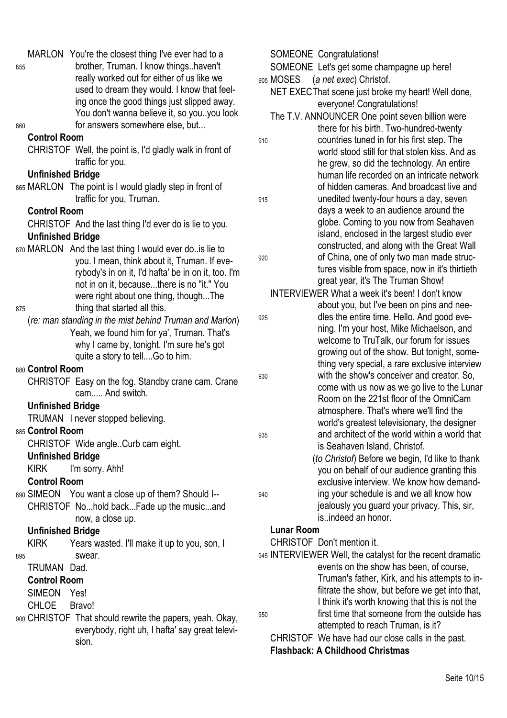| MARLON You're the closest thing I've ever had to a<br>brother, Truman. I know thingshaven't<br>855<br>really worked out for either of us like we<br>used to dream they would. I know that feel-<br>ing once the good things just slipped away.<br>You don't wanna believe it, so you. you look<br>for answers somewhere else, but<br>860 | SOMEONE Congratulations!<br>SOMEONE Let's get some champagne up here!<br>905 MOSES<br>(a net exec) Christof.<br>NET EXECThat scene just broke my heart! Well done,<br>everyone! Congratulations!<br>The T.V. ANNOUNCER One point seven billion were<br>there for his birth. Two-hundred-twenty                                                                                                                                                                                                               |
|------------------------------------------------------------------------------------------------------------------------------------------------------------------------------------------------------------------------------------------------------------------------------------------------------------------------------------------|--------------------------------------------------------------------------------------------------------------------------------------------------------------------------------------------------------------------------------------------------------------------------------------------------------------------------------------------------------------------------------------------------------------------------------------------------------------------------------------------------------------|
| <b>Control Room</b><br>CHRISTOF Well, the point is, I'd gladly walk in front of<br>traffic for you.<br><b>Unfinished Bridge</b>                                                                                                                                                                                                          | countries tuned in for his first step. The<br>910<br>world stood still for that stolen kiss. And as<br>he grew, so did the technology. An entire<br>human life recorded on an intricate network                                                                                                                                                                                                                                                                                                              |
| 865 MARLON The point is I would gladly step in front of<br>traffic for you, Truman.<br><b>Control Room</b>                                                                                                                                                                                                                               | of hidden cameras. And broadcast live and<br>unedited twenty-four hours a day, seven<br>915<br>days a week to an audience around the                                                                                                                                                                                                                                                                                                                                                                         |
| CHRISTOF And the last thing I'd ever do is lie to you.<br><b>Unfinished Bridge</b><br>870 MARLON And the last thing I would ever do. is lie to                                                                                                                                                                                           | globe. Coming to you now from Seahaven<br>island, enclosed in the largest studio ever<br>constructed, and along with the Great Wall                                                                                                                                                                                                                                                                                                                                                                          |
| you. I mean, think about it, Truman. If eve-<br>rybody's in on it, I'd hafta' be in on it, too. I'm<br>not in on it, becausethere is no "it." You<br>were right about one thing, thoughThe                                                                                                                                               | of China, one of only two man made struc-<br>920<br>tures visible from space, now in it's thirtieth<br>great year, it's The Truman Show!<br><b>INTERVIEWER What a week it's been! I don't know</b>                                                                                                                                                                                                                                                                                                           |
| thing that started all this.<br>875<br>(re: man standing in the mist behind Truman and Marlon)<br>Yeah, we found him for ya', Truman. That's<br>why I came by, tonight. I'm sure he's got<br>quite a story to tellGo to him.                                                                                                             | about you, but I've been on pins and nee-<br>dles the entire time. Hello. And good eve-<br>925<br>ning. I'm your host, Mike Michaelson, and<br>welcome to TruTalk, our forum for issues<br>growing out of the show. But tonight, some-                                                                                                                                                                                                                                                                       |
| 880 Control Room<br>CHRISTOF Easy on the fog. Standby crane cam. Crane<br>cam And switch.<br><b>Unfinished Bridge</b><br>TRUMAN I never stopped believing.                                                                                                                                                                               | thing very special, a rare exclusive interview<br>with the show's conceiver and creator. So,<br>930<br>come with us now as we go live to the Lunar<br>Room on the 221st floor of the OmniCam<br>atmosphere. That's where we'll find the                                                                                                                                                                                                                                                                      |
| 885 Control Room<br>CHRISTOF Wide angleCurb cam eight.<br><b>Unfinished Bridge</b>                                                                                                                                                                                                                                                       | world's greatest televisionary, the designer<br>and architect of the world within a world that<br>935<br>is Seahaven Island, Christof.                                                                                                                                                                                                                                                                                                                                                                       |
| <b>KIRK</b><br>I'm sorry. Ahh!<br><b>Control Room</b>                                                                                                                                                                                                                                                                                    | (to Christof) Before we begin, I'd like to thank<br>you on behalf of our audience granting this<br>exclusive interview. We know how demand-                                                                                                                                                                                                                                                                                                                                                                  |
| 890 SIMEON You want a close up of them? Should I--<br>CHRISTOF Nohold backFade up the musicand<br>now, a close up.                                                                                                                                                                                                                       | ing your schedule is and we all know how<br>940<br>jealously you guard your privacy. This, sir,<br>isindeed an honor.                                                                                                                                                                                                                                                                                                                                                                                        |
| <b>Unfinished Bridge</b><br><b>KIRK</b><br>Years wasted. I'll make it up to you, son, I<br>swear.<br>895<br>TRUMAN Dad.<br><b>Control Room</b><br><b>SIMEON</b><br>Yes!<br><b>CHLOE</b><br>Bravo!<br>900 CHRISTOF That should rewrite the papers, yeah. Okay,<br>everybody, right uh, I hafta' say great televi-<br>sion.                | <b>Lunar Room</b><br>CHRISTOF Don't mention it.<br>945 INTERVIEWER Well, the catalyst for the recent dramatic<br>events on the show has been, of course,<br>Truman's father, Kirk, and his attempts to in-<br>filtrate the show, but before we get into that,<br>I think it's worth knowing that this is not the<br>first time that someone from the outside has<br>950<br>attempted to reach Truman, is it?<br>CHRISTOF We have had our close calls in the past.<br><b>Flashback: A Childhood Christmas</b> |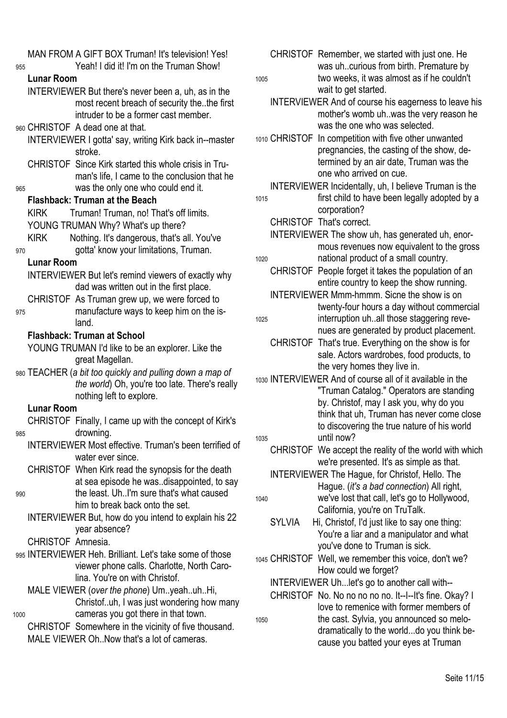| 955               | MAN FROM A GIFT BOX Truman! It's television! Yes!<br>Yeah! I did it! I'm on the Truman Show! | <b>CHRISTOR</b>  |
|-------------------|----------------------------------------------------------------------------------------------|------------------|
| <b>Lunar Room</b> |                                                                                              | 1005             |
|                   | INTERVIEWER But there's never been a, uh, as in the                                          |                  |
|                   | most recent breach of security the. the first                                                | <b>INTERVIEY</b> |
|                   | intruder to be a former cast member.                                                         |                  |
|                   | 960 CHRISTOF A dead one at that.                                                             |                  |
|                   |                                                                                              | 1010 CHRISTOF    |
|                   | INTERVIEWER I gotta' say, writing Kirk back in--master<br>stroke.                            |                  |
|                   | CHRISTOF Since Kirk started this whole crisis in Tru-                                        |                  |
|                   | man's life, I came to the conclusion that he                                                 |                  |
|                   | was the only one who could end it.                                                           | <b>INTERVIEY</b> |
| 965               | <b>Flashback: Truman at the Beach</b>                                                        | 1015             |
|                   |                                                                                              |                  |
| <b>KIRK</b>       | Truman! Truman, no! That's off limits.                                                       | <b>CHRISTOR</b>  |
|                   | YOUNG TRUMAN Why? What's up there?                                                           | <b>INTERVIEV</b> |
| <b>KIRK</b>       | Nothing. It's dangerous, that's all. You've                                                  |                  |
| 970               | gotta' know your limitations, Truman.                                                        | 1020             |
| <b>Lunar Room</b> |                                                                                              | <b>CHRISTOR</b>  |
|                   | <b>INTERVIEWER But let's remind viewers of exactly why</b>                                   |                  |
|                   | dad was written out in the first place.                                                      | <b>INTERVIEY</b> |
|                   | CHRISTOF As Truman grew up, we were forced to                                                |                  |
| 975               | manufacture ways to keep him on the is-                                                      | 1025             |
|                   | land.                                                                                        |                  |
|                   | <b>Flashback: Truman at School</b>                                                           | <b>CHRISTOR</b>  |
|                   | YOUNG TRUMAN I'd like to be an explorer. Like the                                            |                  |
|                   | great Magellan.                                                                              |                  |
|                   | 980 TEACHER (a bit too quickly and pulling down a map of                                     | 1030 INTERVIEY   |
|                   | the world) Oh, you're too late. There's really                                               |                  |
|                   | nothing left to explore.                                                                     |                  |
| <b>Lunar Room</b> |                                                                                              |                  |
|                   | CHRISTOF Finally, I came up with the concept of Kirk's                                       |                  |
| 985               | drowning.                                                                                    | 1035             |
|                   | <b>INTERVIEWER Most effective. Truman's been terrified of</b>                                | <b>CHRISTOR</b>  |
|                   | water ever since.                                                                            |                  |
|                   | CHRISTOF When Kirk read the synopsis for the death                                           | <b>INTERVIEY</b> |
|                   | at sea episode he was. disappointed, to say                                                  |                  |
| 990               | the least. UhI'm sure that's what caused                                                     | 1040             |
|                   | him to break back onto the set.                                                              |                  |
|                   | INTERVIEWER But, how do you intend to explain his 22                                         | <b>SYLVIA</b>    |
|                   | year absence?                                                                                |                  |
|                   | CHRISTOF Amnesia.                                                                            |                  |
|                   | 995 INTERVIEWER Heh. Brilliant. Let's take some of those                                     | 1045 CHRISTOF    |
|                   | viewer phone calls. Charlotte, North Caro-                                                   |                  |
|                   | lina. You're on with Christof.                                                               | <b>INTERVIEY</b> |
|                   | MALE VIEWER (over the phone) UmyeahuhHi,                                                     | <b>CHRISTOR</b>  |
|                   | Christofuh, I was just wondering how many                                                    |                  |
| 1000              | cameras you got there in that town.                                                          | 1050             |
|                   | CHRISTOF Somewhere in the vicinity of five thousand.                                         |                  |
|                   | MALE VIEWER Oh. Now that's a lot of cameras.                                                 |                  |
|                   |                                                                                              |                  |
|                   |                                                                                              |                  |
|                   |                                                                                              |                  |

|   | CHRISTOF Remember, we started with just one. He |
|---|-------------------------------------------------|
|   | was uh. curious from birth. Premature by        |
| 5 | two weeks, it was almost as if he couldn't      |
|   | wait to get started.                            |

- WER And of course his eagerness to leave his mother's womb uh..was the very reason he was the one who was selected.
- $F$  In competition with five other unwanted pregnancies, the casting of the show, determined by an air date, Truman was the one who arrived on cue.
- WER Incidentally, uh, I believe Truman is the first child to have been legally adopted by a corporation?
	-
- F That's correct.<br>WER The show uh, has generated uh, enormous revenues now equivalent to the gross national product of a small country.
- $F$  People forget it takes the population of an entire country to keep the show running.
- WER Mmm-hmmm. Sicne the show is on twenty-four hours a day without commercial interruption uh..all those staggering revenues are generated by product placement.
- F That's true. Everything on the show is for sale. Actors wardrobes, food products, to the very homes they live in.
- $WER$  And of course all of it available in the "Truman Catalog." Operators are standing by. Christof, may I ask you, why do you think that uh, Truman has never come close to discovering the true nature of his world until now?
- $\overline{F}$  We accept the reality of the world with which we're presented. It's as simple as that.
- WER The Hague, for Christof, Hello. The Hague. (*it's a bad connection*) All right, we've lost that call, let's go to Hollywood, California, you're on TruTalk.
	- Hi, Christof, I'd just like to say one thing: You're a liar and a manipulator and what you've done to Truman is sick.
- Well, we remember this voice, don't we? How could we forget?
	- WER Uh...let's go to another call with--

 $F$  No. No no no no no. It--I--It's fine. Okay? I love to remenice with former members of the cast. Sylvia, you announced so melodramatically to the world...do you think because you batted your eyes at Truman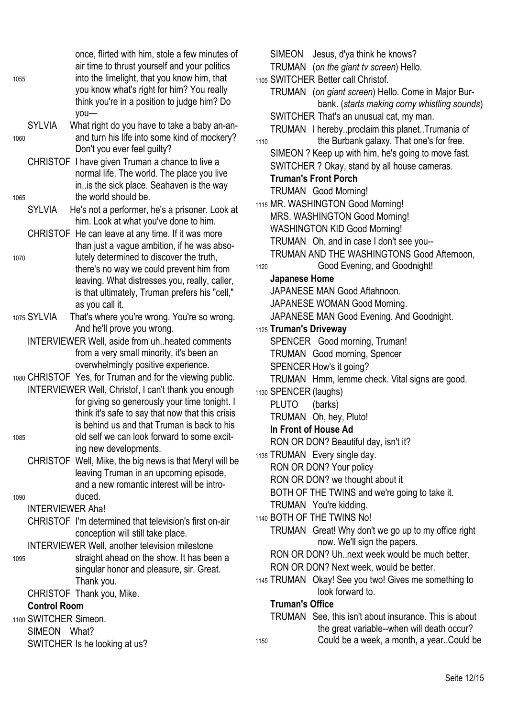| once, flirted with him, stole a few minutes of                                       | SIMEON<br>Jesus, d'ya think he knows?                 |
|--------------------------------------------------------------------------------------|-------------------------------------------------------|
| air time to thrust yourself and your politics                                        | TRUMAN (on the giant tv screen) Hello.                |
| into the limelight, that you know him, that<br>1055                                  | 1105 SWITCHER Better call Christof.                   |
| you know what's right for him? You really                                            | TRUMAN (on giant screen) Hello. Come in Major Bur-    |
| think you're in a position to judge him? Do                                          | bank. (starts making corny whistling sounds)          |
| you-                                                                                 | SWITCHER That's an unusual cat, my man.               |
| <b>SYLVIA</b><br>What right do you have to take a baby an-an-                        | TRUMAN I herebyproclaim this planetTrumania of        |
| and turn his life into some kind of mockery?<br>1060                                 | the Burbank galaxy. That one's for free.<br>1110      |
| Don't you ever feel guilty?                                                          | SIMEON ? Keep up with him, he's going to move fast.   |
| CHRISTOF I have given Truman a chance to live a                                      | SWITCHER ? Okay, stand by all house cameras.          |
| normal life. The world. The place you live                                           | <b>Truman's Front Porch</b>                           |
| inis the sick place. Seahaven is the way                                             |                                                       |
| the world should be.<br>1065                                                         | <b>TRUMAN</b> Good Morning!                           |
| <b>SYLVIA</b><br>He's not a performer, he's a prisoner. Look at                      | 1115 MR. WASHINGTON Good Morning!                     |
| him. Look at what you've done to him.                                                | MRS. WASHINGTON Good Morning!                         |
| CHRISTOF He can leave at any time. If it was more                                    | <b>WASHINGTON KID Good Morning!</b>                   |
| than just a vague ambition, if he was abso-                                          | TRUMAN Oh, and in case I don't see you--              |
| lutely determined to discover the truth,<br>1070                                     | TRUMAN AND THE WASHINGTONS Good Afternoon,            |
| there's no way we could prevent him from                                             | Good Evening, and Goodnight!<br>1120                  |
| leaving. What distresses you, really, caller,                                        | Japanese Home                                         |
| is that ultimately, Truman prefers his "cell,"                                       | JAPANESE MAN Good Aftahnoon.                          |
| as you call it.                                                                      | JAPANESE WOMAN Good Morning.                          |
| 1075 SYLVIA<br>That's where you're wrong. You're so wrong.                           | JAPANESE MAN Good Evening. And Goodnight.             |
| And he'll prove you wrong.                                                           | 1125 Truman's Driveway                                |
| <b>INTERVIEWER Well, aside from uhheated comments</b>                                | SPENCER Good morning, Truman!                         |
| from a very small minority, it's been an                                             | TRUMAN Good morning, Spencer                          |
| overwhelmingly positive experience.                                                  | SPENCER How's it going?                               |
| 1080 CHRISTOF Yes, for Truman and for the viewing public.                            | TRUMAN Hmm, lemme check. Vital signs are good.        |
| INTERVIEWER Well, Christof, I can't thank you enough                                 | 1130 SPENCER (laughs)                                 |
| for giving so generously your time tonight. I                                        | <b>PLUTO</b><br>(barks)                               |
| think it's safe to say that now that this crisis                                     | TRUMAN Oh, hey, Pluto!                                |
| is behind us and that Truman is back to his                                          | In Front of House Ad                                  |
| old self we can look forward to some excit-<br>1085                                  | RON OR DON? Beautiful day, isn't it?                  |
| ing new developments.                                                                | 1135 TRUMAN Every single day.                         |
| CHRISTOF Well, Mike, the big news is that Meryl will be                              | RON OR DON? Your policy                               |
| leaving Truman in an upcoming episode,<br>and a new romantic interest will be intro- | RON OR DON? we thought about it                       |
| duced.                                                                               | BOTH OF THE TWINS and we're going to take it.         |
| 1090<br><b>INTERVIEWER Aha!</b>                                                      | TRUMAN You're kidding.                                |
| CHRISTOF I'm determined that television's first on-air                               | 1140 BOTH OF THE TWINS No!                            |
| conception will still take place.                                                    | TRUMAN Great! Why don't we go up to my office right   |
| <b>INTERVIEWER Well, another television milestone</b>                                | now. We'll sign the papers.                           |
| straight ahead on the show. It has been a<br>1095                                    | RON OR DON? Uh. next week would be much better.       |
| singular honor and pleasure, sir. Great.                                             | RON OR DON? Next week, would be better.               |
| Thank you.                                                                           | 1145 TRUMAN Okay! See you two! Gives me something to  |
| CHRISTOF Thank you, Mike.                                                            | look forward to.                                      |
| <b>Control Room</b>                                                                  | <b>Truman's Office</b>                                |
| 1100 SWITCHER Simeon.                                                                | TRUMAN See, this isn't about insurance. This is about |
| SIMEON What?                                                                         | the great variable--when will death occur?            |
| SWITCHER Is he looking at us?                                                        | Could be a week, a month, a yearCould be<br>1150      |
|                                                                                      |                                                       |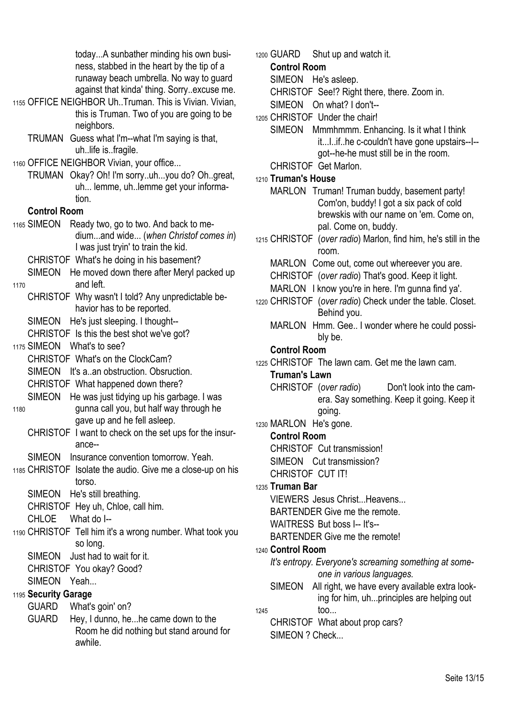today...A sunbather minding his own business, stabbed in the heart by the tip of a runaway beach umbrella. No way to guard against that kinda' thing. Sorry..excuse me.

- OFFICE NEIGHBOR Uh..Truman. This is Vivian. Vivian, 1155 this is Truman. Two of you are going to be neighbors.
	- TRUMAN Guess what I'm--what I'm saying is that, uh..life is..fragile.
- 1160 OFFICE NEIGHBOR Vivian, your office... CHRISTOF Get Marlon.
	- TRUMAN Okay? Oh! I'm sorry..uh...you do? Oh..great, uh... lemme, uh..lemme get your information.

### **Control Room**

- 1165 SIMEON Ready two, go to two. And back to medium...and wide... (*when Christof comes in*) I was just tryin' to train the kid.
	-
- 1170 and left.
- -
	- bly be. CHRISTOF Is this the best shot we've got?
- 1175 SIMEON What's to see? **Control Room** 
	-
	- SIMEON It's a an obstruction. Obsruction. **Truman's Lawn**
	-
- 1180 SIMEON He was just tidying up his garbage. I was gunna call you, but half way through he
	- gave up and he fell asleep.<br>CHRISTOF I want to check on the set ups for the insurance--
	- SIMEON Insurance convention tomorrow. Yeah. SIMEON Cut transmission?
- 1185 CHRISTOF Isolate the audio. Give me a close-up on his torso.
	-
	-
	-
- SIMEON He's still breathing.<br>CHRISTOF Hey uh, Chloe, call him.<br>CHLOE What do I--<br>CHRISTOF Tell him it's a wrong number. What took you be principle in the part of the remote. Tell him it's a wrong number. What look you<br>so long.
	-
	-
	-

## 1195 **Security Garage**

- GUARD What's goin' on?
- GUARD Hey, I dunno, he...he came down to the Room he did nothing but stand around for awhile.
- Shut up and watch it. 1200 GUARD **Control Room** 
	- SIMEON He's asleep.

CHRISTOF See!? Right there, there. Zoom in.

- SIMEON On what? I don't--
- 1205 CHRISTOF Under the chair!

SIMEON Mmmhmmm. Enhancing. Is it what I think it...I..if..he c-couldn't have gone upstairs--I- got--he-he must still be in the room.

- 
- 1210 **Truman's House** 
	- MARLON Truman! Truman buddy, basement party! Com'on, buddy! I got a six pack of cold brewskis with our name on 'em. Come on, pal. Come on, buddy.
- 1215 CHRISTOF (*over radio*) Marlon, find him, he's still in the room.
- CHRISTOF What's he doing in his basement?<br>SIMEON He moved down there after Meryl packed up<br>CHRISTOF (over radio) That's good. Keep it light
	- CHRISTOF (*over radio*) That's good. Keep it light.

MARLON I know you're in here. I'm gunna find ya'.<br>CHRISTOF Why wasn't I told? Any unpredictable be-<br>CHELSTOF (over radio) Check under the table. Cle

- wity wash it lold? Any unpredictable be-<br>havior has to be reported. Closet. Rebind you havior has to be reported.<br>
SIMEON He's just sleeping. I thought--<br>
MARLON Hmm. Gee.. I wonder where he could possi-<br>
MARLON Hmm. Gee.. I wonder where he could possi-
	-

CHRISTOF What's on the ClockCam? example 1225 CHRISTOF The lawn cam. Get me the lawn cam.

CHRISTOF What happened down there? CHRISTOF (*over radio*) Don't look into the camera. Say something. Keep it going. Keep it going.

1230 MARLON He's gone.

### **Control Room**

CHRISTOF Cut transmission! CHRISTOF CUT IT!

### 1235 Truman Bar

### 1240 Control Room

SIMEON Just had to wait for it.<br>CHRISTOF You okay? Good?<br>CHRISTOF You okay? Good? *one in various languages.* CHRISTOF You okay? Good?

1245 SIMEON All right, we have every available extra looking for him, uh...principles are helping out too...

### CHRISTOF What about prop cars? SIMEON ? Check...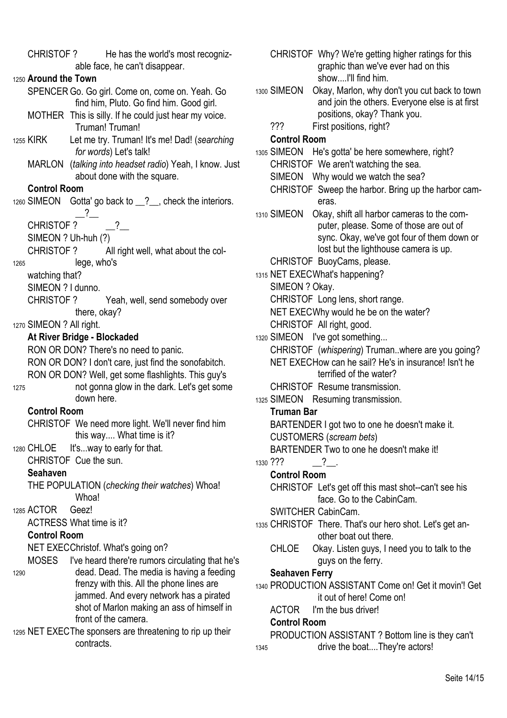CHRISTOF ? He has the world's most recognizable face, he can't disappear. CHRISTOF Why? We're getting higher ratings for this graphic than we've ever had on this <sup>1250</sup>**Around the Town** show....I'll find him. 1255 KIRK 1260 SIMEON Gotta' go back to \_?\_, check the interiors. eras. 1265 1270 SIMEON ? All right. 1275 1280 CHLOE 1285 ACTOR 1290 1295 NET EXEC The sponsers are threatening to rip up their 1300 SIMEON Okay, Marlon, why don't you cut back to town for words) Let's talk! **Simmon Contract and the state of the state of the state of the state of the state of the state of the state of the state of the state of the state of the state of the state of the state of the state**  $\frac{1}{1310}$  SIMEON Okay, shift all harbor cameras to the comwatching that? Music extends the contract of the contract of the state of the state of the state of the state of the state of the state of the state of the state of the state of the state of the state of the state of the s At River Bridge - Blockaded **Statement Control Control** 1320 SIMEON I've got something... 1325 SIMEON Resuming transmission. 1330 777 ACTRESS What time is it? There is it and the state of the state of the state of the state of the state of the state of the state of the state of the state of the state of the state of the state of the state of the state of 1340 PRODUCTION ASSISTANT Come on! Get it movin'! Get 1345 and join the others. Everyone else is at first positions, okay? Thank you. SPENCER Go. Go girl. Come on, come on. Yeah. Go find him, Pluto. Go find him. Good girl. MOTHER This is silly. If he could just hear my voice. Truman! Truman! ??? First positions, right? Let me try. Truman! It's me! Dad! (*searching* **Control Room** MARLON (*talking into headset radio*) Yeah, I know. Just about done with the square. CHRISTOF We aren't watching the sea. SIMEON Why would we watch the sea? **Control Room CHRISTOF** Sweep the harbor. Bring up the harbor camputer, please. Some of those are out of sync. Okay, we've got four of them down or lost but the lighthouse camera is up. CHRISTOF ? 2 SIMEON ? Uh-huh (?) CHRISTOF ? All right well, what about the college, who's CHRISTOF BuoyCams, please. SIMEON ? I dunno. SIMEON ? Okay. CHRISTOF ? Yeah, well, send somebody over CHRISTOF Long lens, short range. there, okay? **NET EXEC Why would he be on the water?** CHRISTOF All right, good. RON OR DON? There's no need to panic. CHRISTOF (*whispering*) Truman..where are you going? RON OR DON? I don't care, just find the sonofabitch. NET EXEC How can he sail? He's in insurance! Isn't he RON OR DON? Well, get some flashlights. This guy's terrified of the water? not gonna glow in the dark. Let's get some down here. CHRISTOF Resume transmission. **Control Room Control Room Control Room Control Room Control Room Control Room Control Room Control Room Control Room Control Room Control Room Control Room Control Room Control Room Control Room Control Room Control Room** CHRISTOF We need more light. We'll never find him this way.... What time is it? BARTENDER I got two to one he doesn't make it. CUSTOMERS (*scream bets*) It's...way to early for that. The CHLOE BARTENDER Two to one he doesn't make it! CHRISTOF Cue the sun.  $\begin{array}{ccc}\n\text{Stab} & \text{Stab} \\
\text{Stab} & \text{Control Poom} \\
\end{array}$ **Control Room** THE POPULATION (*checking their watches*) Whoa! Whoa! CHRISTOF Let's get off this mast shot--can't see his face. Go to the CabinCam. Actual Act of the SWITCHER CabinCam. **Control Room Control Room other boat out there.** NET EXEC Christof. What's going on? The CHLOE Okay. Listen guys, I need you to talk to the MOSES I've heard there're rumors circulating that he's guys on the ferry. dead. Dead. The media is having a feeding frenzy with this. All the phone lines are jammed. And every network has a pirated shot of Marlon making an ass of himself in front of the camera. **Seahaven Ferry**  it out of here! Come on! ACTOR I'm the bus driver! **Control Room**  contracts. PRODUCTION ASSISTANT ? Bottom line is they can't drive the boat....They're actors!